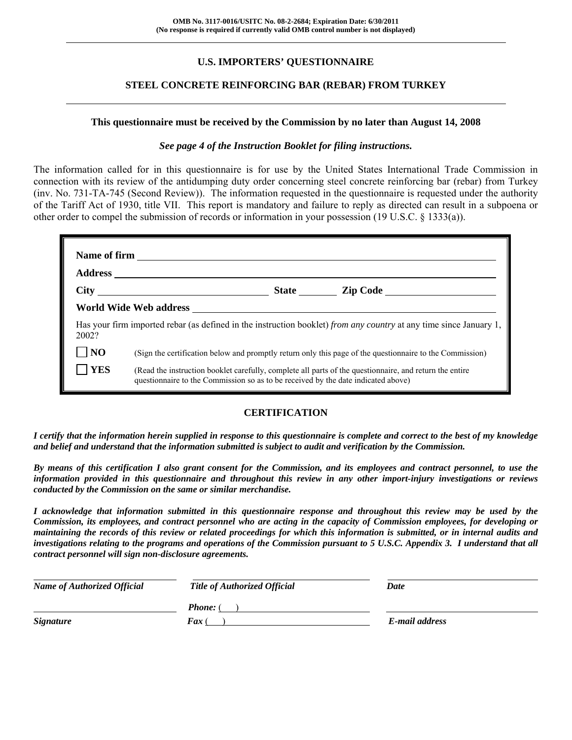#### **U.S. IMPORTERS' QUESTIONNAIRE**

#### **STEEL CONCRETE REINFORCING BAR (REBAR) FROM TURKEY**

#### **This questionnaire must be received by the Commission by no later than August 14, 2008**

#### *See page 4 of the Instruction Booklet for filing instructions.*

The information called for in this questionnaire is for use by the United States International Trade Commission in connection with its review of the antidumping duty order concerning steel concrete reinforcing bar (rebar) from Turkey (inv. No. 731-TA-745 (Second Review)). The information requested in the questionnaire is requested under the authority of the Tariff Act of 1930, title VII. This report is mandatory and failure to reply as directed can result in a subpoena or other order to compel the submission of records or information in your possession (19 U.S.C. § 1333(a)).

| 2002?      | Has your firm imported rebar (as defined in the instruction booklet) from any country at any time since January 1,                                                                           |
|------------|----------------------------------------------------------------------------------------------------------------------------------------------------------------------------------------------|
| NO         | (Sign the certification below and promptly return only this page of the questionnaire to the Commission)                                                                                     |
| <b>YES</b> | (Read the instruction booklet carefully, complete all parts of the questionnaire, and return the entire<br>questionnaire to the Commission so as to be received by the date indicated above) |

#### **CERTIFICATION**

*I certify that the information herein supplied in response to this questionnaire is complete and correct to the best of my knowledge and belief and understand that the information submitted is subject to audit and verification by the Commission.* 

*By means of this certification I also grant consent for the Commission, and its employees and contract personnel, to use the information provided in this questionnaire and throughout this review in any other import-injury investigations or reviews conducted by the Commission on the same or similar merchandise.* 

*I acknowledge that information submitted in this questionnaire response and throughout this review may be used by the Commission, its employees, and contract personnel who are acting in the capacity of Commission employees, for developing or maintaining the records of this review or related proceedings for which this information is submitted, or in internal audits and investigations relating to the programs and operations of the Commission pursuant to 5 U.S.C. Appendix 3. I understand that all contract personnel will sign non-disclosure agreements.* 

| <b>Name of Authorized Official</b> | <b>Title of Authorized Official</b> | Date           |
|------------------------------------|-------------------------------------|----------------|
|                                    | <b>Phone:</b> (                     |                |
| <i><b>Signature</b></i>            | <b>Fax</b> (                        | E-mail address |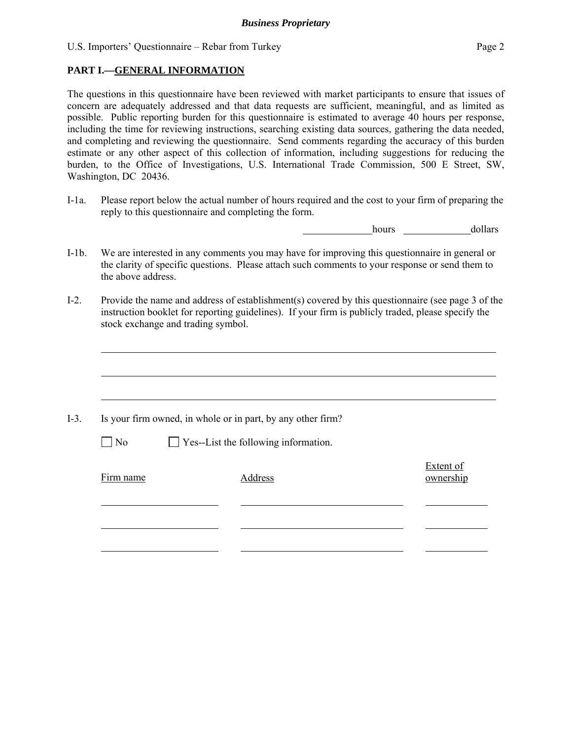#### **PART I.—GENERAL INFORMATION**

The questions in this questionnaire have been reviewed with market participants to ensure that issues of concern are adequately addressed and that data requests are sufficient, meaningful, and as limited as possible. Public reporting burden for this questionnaire is estimated to average 40 hours per response, including the time for reviewing instructions, searching existing data sources, gathering the data needed, and completing and reviewing the questionnaire. Send comments regarding the accuracy of this burden estimate or any other aspect of this collection of information, including suggestions for reducing the burden, to the Office of Investigations, U.S. International Trade Commission, 500 E Street, SW, Washington, DC 20436.

I-1a. Please report below the actual number of hours required and the cost to your firm of preparing the reply to this questionnaire and completing the form.

hours dollars

- I-1b. We are interested in any comments you may have for improving this questionnaire in general or the clarity of specific questions. Please attach such comments to your response or send them to the above address.
- I-2. Provide the name and address of establishment(s) covered by this questionnaire (see page 3 of the instruction booklet for reporting guidelines). If your firm is publicly traded, please specify the stock exchange and trading symbol.

|           | Is your firm owned, in whole or in part, by any other firm? |                               |
|-----------|-------------------------------------------------------------|-------------------------------|
| $\Box$ No | $\Box$ Yes--List the following information.                 |                               |
| Firm name | Address                                                     | <b>Extent of</b><br>ownership |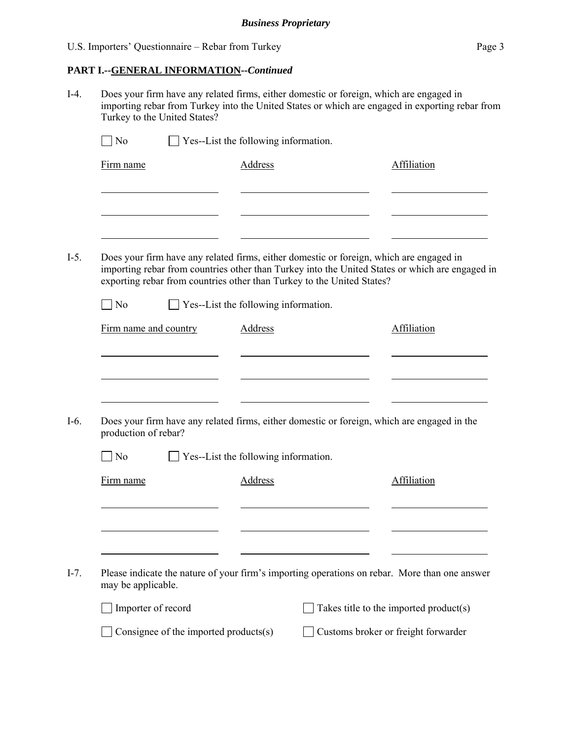#### **PART I.--GENERAL INFORMATION***--Continued*

I-4. Does your firm have any related firms, either domestic or foreign, which are engaged in importing rebar from Turkey into the United States or which are engaged in exporting rebar from Turkey to the United States?

| N <sub>0</sub>        |                                       | Yes--List the following information.                                                                                                                                                                                                                                 |                                        |
|-----------------------|---------------------------------------|----------------------------------------------------------------------------------------------------------------------------------------------------------------------------------------------------------------------------------------------------------------------|----------------------------------------|
| Firm name             |                                       | <b>Address</b>                                                                                                                                                                                                                                                       | Affiliation                            |
|                       |                                       |                                                                                                                                                                                                                                                                      |                                        |
|                       |                                       | Does your firm have any related firms, either domestic or foreign, which are engaged in<br>importing rebar from countries other than Turkey into the United States or which are engaged in<br>exporting rebar from countries other than Turkey to the United States? |                                        |
| $\Box$ No             |                                       | $\Box$ Yes--List the following information.                                                                                                                                                                                                                          |                                        |
| Firm name and country |                                       | <b>Address</b>                                                                                                                                                                                                                                                       | Affiliation                            |
| production of rebar?  |                                       | Does your firm have any related firms, either domestic or foreign, which are engaged in the                                                                                                                                                                          |                                        |
| $\exists$ No          |                                       | Yes--List the following information.                                                                                                                                                                                                                                 |                                        |
| Firm name             |                                       | Address                                                                                                                                                                                                                                                              | Affiliation                            |
|                       |                                       |                                                                                                                                                                                                                                                                      |                                        |
| may be applicable.    |                                       | Please indicate the nature of your firm's importing operations on rebar. More than one answer                                                                                                                                                                        |                                        |
| Importer of record    |                                       |                                                                                                                                                                                                                                                                      | Takes title to the imported product(s) |
|                       | Consignee of the imported products(s) |                                                                                                                                                                                                                                                                      | Customs broker or freight forwarder    |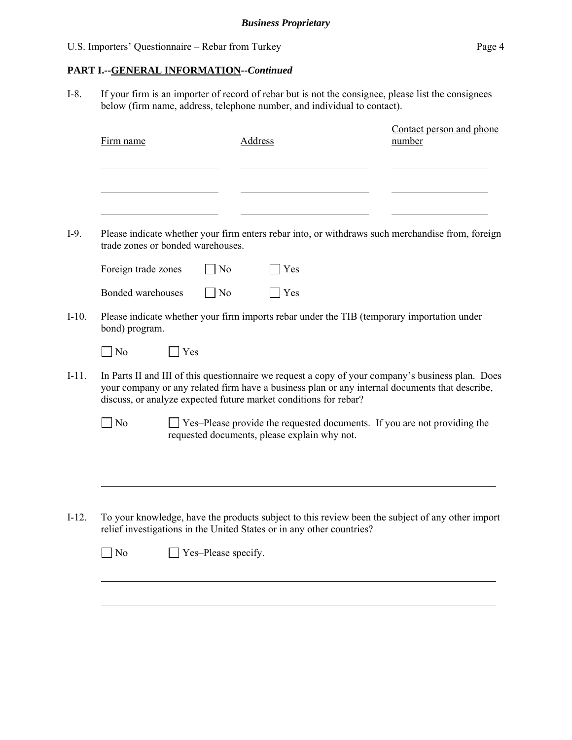$\overline{a}$ 

#### **PART I.--GENERAL INFORMATION***--Continued*

I-8. If your firm is an importer of record of rebar but is not the consignee, please list the consignees below (firm name, address, telephone number, and individual to contact).

| Firm name      |                                   | <b>Address</b>                                                        | Contact person and phone<br>number                                                                                                                                                                  |
|----------------|-----------------------------------|-----------------------------------------------------------------------|-----------------------------------------------------------------------------------------------------------------------------------------------------------------------------------------------------|
|                |                                   |                                                                       |                                                                                                                                                                                                     |
|                | trade zones or bonded warehouses. |                                                                       | Please indicate whether your firm enters rebar into, or withdraws such merchandise from, foreign                                                                                                    |
|                | Foreign trade zones               | $\overline{N_0}$<br>Yes                                               |                                                                                                                                                                                                     |
|                | Bonded warehouses                 | N <sub>0</sub><br><b>Yes</b>                                          |                                                                                                                                                                                                     |
|                | bond) program.                    |                                                                       | Please indicate whether your firm imports rebar under the TIB (temporary importation under                                                                                                          |
| N <sub>o</sub> | Yes                               |                                                                       |                                                                                                                                                                                                     |
|                |                                   | discuss, or analyze expected future market conditions for rebar?      | In Parts II and III of this questionnaire we request a copy of your company's business plan. Does<br>your company or any related firm have a business plan or any internal documents that describe, |
| N <sub>o</sub> |                                   | requested documents, please explain why not.                          | $\Box$ Yes-Please provide the requested documents. If you are not providing the                                                                                                                     |
|                |                                   |                                                                       |                                                                                                                                                                                                     |
|                |                                   | relief investigations in the United States or in any other countries? | To your knowledge, have the products subject to this review been the subject of any other import                                                                                                    |
| N <sub>o</sub> |                                   | Yes-Please specify.                                                   |                                                                                                                                                                                                     |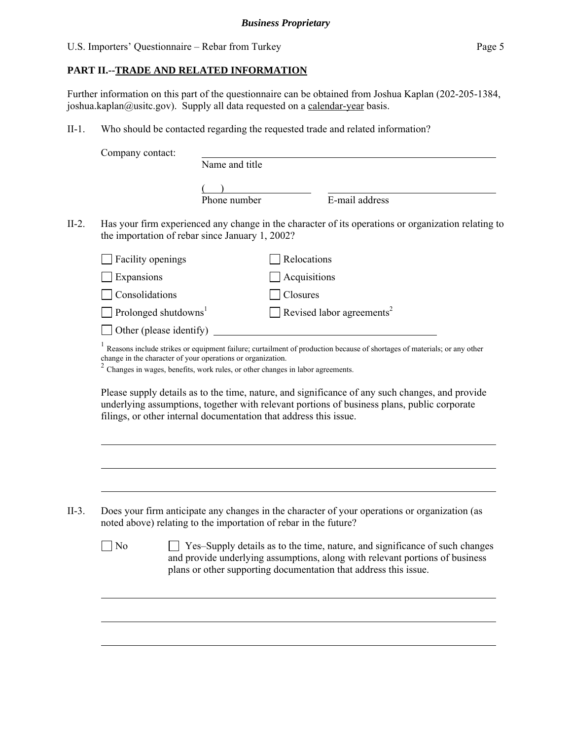### **PART II.--TRADE AND RELATED INFORMATION**

Further information on this part of the questionnaire can be obtained from Joshua Kaplan (202-205-1384, joshua.kaplan@usitc.gov). Supply all data requested on a calendar-year basis.

II-1. Who should be contacted regarding the requested trade and related information?

|                                         | Name and title                                                                                                                                     |                                                                             |                                                                                                                                                                                                |
|-----------------------------------------|----------------------------------------------------------------------------------------------------------------------------------------------------|-----------------------------------------------------------------------------|------------------------------------------------------------------------------------------------------------------------------------------------------------------------------------------------|
|                                         |                                                                                                                                                    |                                                                             |                                                                                                                                                                                                |
|                                         |                                                                                                                                                    |                                                                             |                                                                                                                                                                                                |
|                                         | Phone number                                                                                                                                       |                                                                             | E-mail address                                                                                                                                                                                 |
|                                         | the importation of rebar since January 1, 2002?                                                                                                    |                                                                             | Has your firm experienced any change in the character of its operations or organization relating to                                                                                            |
| Facility openings                       |                                                                                                                                                    | Relocations                                                                 |                                                                                                                                                                                                |
| Expansions                              |                                                                                                                                                    | Acquisitions                                                                |                                                                                                                                                                                                |
| Consolidations                          |                                                                                                                                                    | Closures                                                                    |                                                                                                                                                                                                |
| $\Box$ Prolonged shutdowns <sup>1</sup> |                                                                                                                                                    |                                                                             | Revised labor agreements <sup>2</sup>                                                                                                                                                          |
|                                         | Other (please identify)                                                                                                                            |                                                                             |                                                                                                                                                                                                |
|                                         | Changes in wages, benefits, work rules, or other changes in labor agreements.<br>filings, or other internal documentation that address this issue. |                                                                             | Please supply details as to the time, nature, and significance of any such changes, and provide<br>underlying assumptions, together with relevant portions of business plans, public corporate |
|                                         | noted above) relating to the importation of rebar in the future?                                                                                   | Yes-Supply details as to the time, nature, and significance of such changes | Does your firm anticipate any changes in the character of your operations or organization (as                                                                                                  |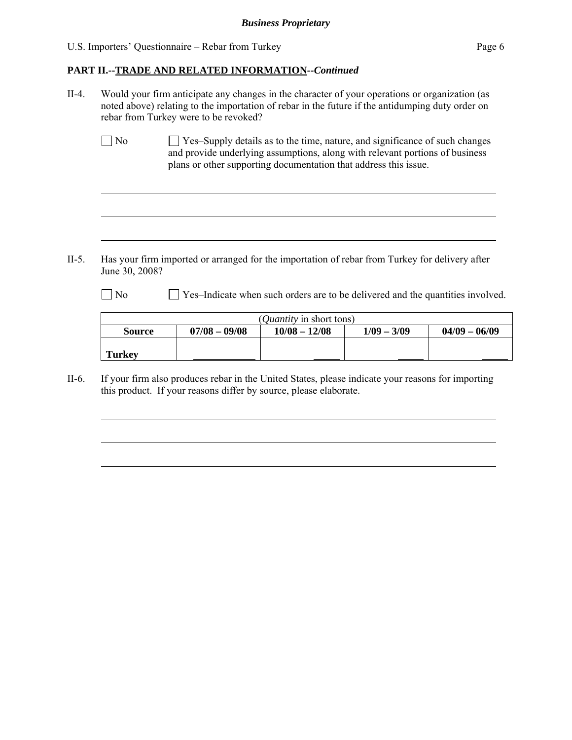$\overline{a}$ 

 $\overline{a}$ 

 $\overline{a}$ 

l

 $\overline{a}$ 

 $\overline{a}$ 

#### **PART II.--TRADE AND RELATED INFORMATION***--Continued*

- II-4. Would your firm anticipate any changes in the character of your operations or organization (as noted above) relating to the importation of rebar in the future if the antidumping duty order on rebar from Turkey were to be revoked?
	- No  $\Box$  Yes–Supply details as to the time, nature, and significance of such changes and provide underlying assumptions, along with relevant portions of business plans or other supporting documentation that address this issue.

II-5. Has your firm imported or arranged for the importation of rebar from Turkey for delivery after June 30, 2008?

No  $\Box$  Yes–Indicate when such orders are to be delivered and the quantities involved.

| ( <i>Quantity</i> in short tons) |                 |                 |               |                 |  |  |  |
|----------------------------------|-----------------|-----------------|---------------|-----------------|--|--|--|
| <b>Source</b>                    | $07/08 - 09/08$ | $10/08 - 12/08$ | $1/09 - 3/09$ | $04/09 - 06/09$ |  |  |  |
|                                  |                 |                 |               |                 |  |  |  |
| Turkey                           |                 |                 |               |                 |  |  |  |

II-6. If your firm also produces rebar in the United States, please indicate your reasons for importing this product. If your reasons differ by source, please elaborate.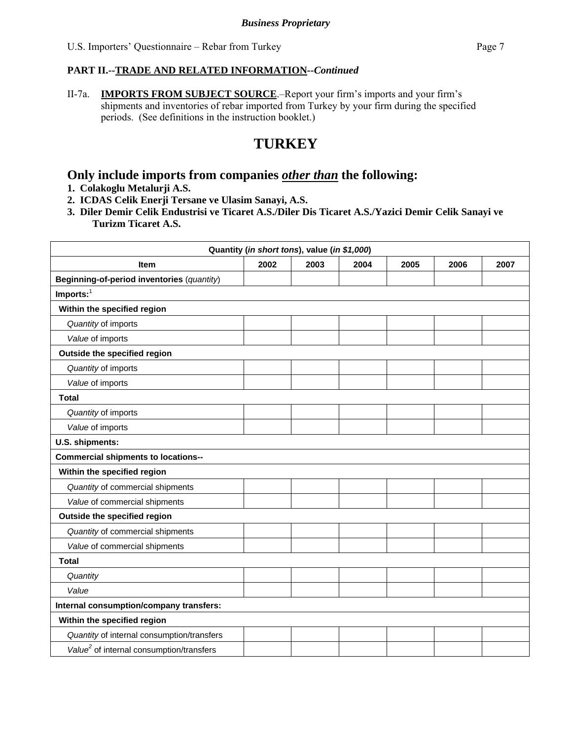II-7a. **IMPORTS FROM SUBJECT SOURCE**.–Report your firm's imports and your firm's shipments and inventories of rebar imported from Turkey by your firm during the specified periods. (See definitions in the instruction booklet.)

# **TURKEY**

### **Only include imports from companies** *other than* **the following:**

- **1. Colakoglu Metalurji A.S.**
- **2. ICDAS Celik Enerji Tersane ve Ulasim Sanayi, A.S.**
- **3. Diler Demir Celik Endustrisi ve Ticaret A.S./Diler Dis Ticaret A.S./Yazici Demir Celik Sanayi ve Turizm Ticaret A.S.**

| Quantity (in short tons), value (in \$1,000)         |      |      |      |      |      |      |
|------------------------------------------------------|------|------|------|------|------|------|
| <b>Item</b>                                          | 2002 | 2003 | 2004 | 2005 | 2006 | 2007 |
| Beginning-of-period inventories (quantity)           |      |      |      |      |      |      |
| $Imports:$ <sup>1</sup>                              |      |      |      |      |      |      |
| Within the specified region                          |      |      |      |      |      |      |
| Quantity of imports                                  |      |      |      |      |      |      |
| Value of imports                                     |      |      |      |      |      |      |
| Outside the specified region                         |      |      |      |      |      |      |
| Quantity of imports                                  |      |      |      |      |      |      |
| Value of imports                                     |      |      |      |      |      |      |
| <b>Total</b>                                         |      |      |      |      |      |      |
| Quantity of imports                                  |      |      |      |      |      |      |
| Value of imports                                     |      |      |      |      |      |      |
| U.S. shipments:                                      |      |      |      |      |      |      |
| <b>Commercial shipments to locations--</b>           |      |      |      |      |      |      |
| Within the specified region                          |      |      |      |      |      |      |
| Quantity of commercial shipments                     |      |      |      |      |      |      |
| Value of commercial shipments                        |      |      |      |      |      |      |
| Outside the specified region                         |      |      |      |      |      |      |
| Quantity of commercial shipments                     |      |      |      |      |      |      |
| Value of commercial shipments                        |      |      |      |      |      |      |
| <b>Total</b>                                         |      |      |      |      |      |      |
| Quantity                                             |      |      |      |      |      |      |
| Value                                                |      |      |      |      |      |      |
| Internal consumption/company transfers:              |      |      |      |      |      |      |
| Within the specified region                          |      |      |      |      |      |      |
| Quantity of internal consumption/transfers           |      |      |      |      |      |      |
| Value <sup>2</sup> of internal consumption/transfers |      |      |      |      |      |      |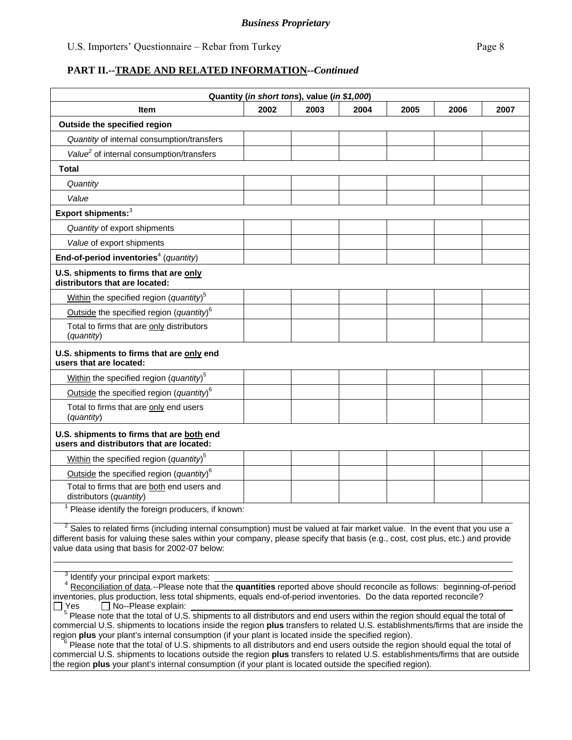|                                                                                                                                                                                                                                                                                                                                                                                                                                                                                                                                                                                                                                               |      | Quantity (in short tons), value (in \$1,000) |      |      |      |      |
|-----------------------------------------------------------------------------------------------------------------------------------------------------------------------------------------------------------------------------------------------------------------------------------------------------------------------------------------------------------------------------------------------------------------------------------------------------------------------------------------------------------------------------------------------------------------------------------------------------------------------------------------------|------|----------------------------------------------|------|------|------|------|
| <b>Item</b>                                                                                                                                                                                                                                                                                                                                                                                                                                                                                                                                                                                                                                   | 2002 | 2003                                         | 2004 | 2005 | 2006 | 2007 |
| Outside the specified region                                                                                                                                                                                                                                                                                                                                                                                                                                                                                                                                                                                                                  |      |                                              |      |      |      |      |
| Quantity of internal consumption/transfers                                                                                                                                                                                                                                                                                                                                                                                                                                                                                                                                                                                                    |      |                                              |      |      |      |      |
| Value <sup>2</sup> of internal consumption/transfers                                                                                                                                                                                                                                                                                                                                                                                                                                                                                                                                                                                          |      |                                              |      |      |      |      |
| <b>Total</b>                                                                                                                                                                                                                                                                                                                                                                                                                                                                                                                                                                                                                                  |      |                                              |      |      |      |      |
| Quantity                                                                                                                                                                                                                                                                                                                                                                                                                                                                                                                                                                                                                                      |      |                                              |      |      |      |      |
| Value                                                                                                                                                                                                                                                                                                                                                                                                                                                                                                                                                                                                                                         |      |                                              |      |      |      |      |
| Export shipments: <sup>3</sup>                                                                                                                                                                                                                                                                                                                                                                                                                                                                                                                                                                                                                |      |                                              |      |      |      |      |
| Quantity of export shipments                                                                                                                                                                                                                                                                                                                                                                                                                                                                                                                                                                                                                  |      |                                              |      |      |      |      |
| Value of export shipments                                                                                                                                                                                                                                                                                                                                                                                                                                                                                                                                                                                                                     |      |                                              |      |      |      |      |
| End-of-period inventories <sup>4</sup> (quantity)                                                                                                                                                                                                                                                                                                                                                                                                                                                                                                                                                                                             |      |                                              |      |      |      |      |
| U.S. shipments to firms that are only<br>distributors that are located:                                                                                                                                                                                                                                                                                                                                                                                                                                                                                                                                                                       |      |                                              |      |      |      |      |
| Within the specified region (quantity) <sup>5</sup>                                                                                                                                                                                                                                                                                                                                                                                                                                                                                                                                                                                           |      |                                              |      |      |      |      |
| Outside the specified region (quantity) <sup>6</sup>                                                                                                                                                                                                                                                                                                                                                                                                                                                                                                                                                                                          |      |                                              |      |      |      |      |
| Total to firms that are only distributors<br>(quantity)                                                                                                                                                                                                                                                                                                                                                                                                                                                                                                                                                                                       |      |                                              |      |      |      |      |
| U.S. shipments to firms that are only end<br>users that are located:                                                                                                                                                                                                                                                                                                                                                                                                                                                                                                                                                                          |      |                                              |      |      |      |      |
| Within the specified region (quantity) <sup>5</sup>                                                                                                                                                                                                                                                                                                                                                                                                                                                                                                                                                                                           |      |                                              |      |      |      |      |
| Outside the specified region (quantity) <sup>6</sup>                                                                                                                                                                                                                                                                                                                                                                                                                                                                                                                                                                                          |      |                                              |      |      |      |      |
| Total to firms that are only end users<br>(quantity)                                                                                                                                                                                                                                                                                                                                                                                                                                                                                                                                                                                          |      |                                              |      |      |      |      |
| U.S. shipments to firms that are both end<br>users and distributors that are located:                                                                                                                                                                                                                                                                                                                                                                                                                                                                                                                                                         |      |                                              |      |      |      |      |
| Within the specified region (quantity) <sup>5</sup>                                                                                                                                                                                                                                                                                                                                                                                                                                                                                                                                                                                           |      |                                              |      |      |      |      |
| Outside the specified region (quantity) <sup>6</sup>                                                                                                                                                                                                                                                                                                                                                                                                                                                                                                                                                                                          |      |                                              |      |      |      |      |
| Total to firms that are both end users and<br>distributors (quantity)                                                                                                                                                                                                                                                                                                                                                                                                                                                                                                                                                                         |      |                                              |      |      |      |      |
| Please identify the foreign producers, if known:                                                                                                                                                                                                                                                                                                                                                                                                                                                                                                                                                                                              |      |                                              |      |      |      |      |
| <sup>2</sup> Sales to related firms (including internal consumption) must be valued at fair market value. In the event that you use a<br>different basis for valuing these sales within your company, please specify that basis (e.g., cost, cost plus, etc.) and provide<br>value data using that basis for 2002-07 below:                                                                                                                                                                                                                                                                                                                   |      |                                              |      |      |      |      |
| <sup>3</sup> Identify your principal export markets:<br><sup>4</sup> Reconciliation of data.--Please note that the quantities reported above should reconcile as follows: beginning-of-period<br>inventories, plus production, less total shipments, equals end-of-period inventories. Do the data reported reconcile?<br>$\Box$ No--Please explain:<br>_l Yes<br><sup>5</sup> Please note that the total of U.S. shipments to all distributors and end users within the region should equal the total of<br>commercial U.S. shipments to locations inside the region plus transfers to related U.S. establishments/firms that are inside the |      |                                              |      |      |      |      |

region **plus** your plant's internal consumption (if your plant is located inside the specified region).<br><sup>6</sup> Please note that the total of U.S. shipments to all distributors and end users outside the region should equal the commercial U.S. shipments to locations outside the region **plus** transfers to related U.S. establishments/firms that are outside the region **plus** your plant's internal consumption (if your plant is located outside the specified region).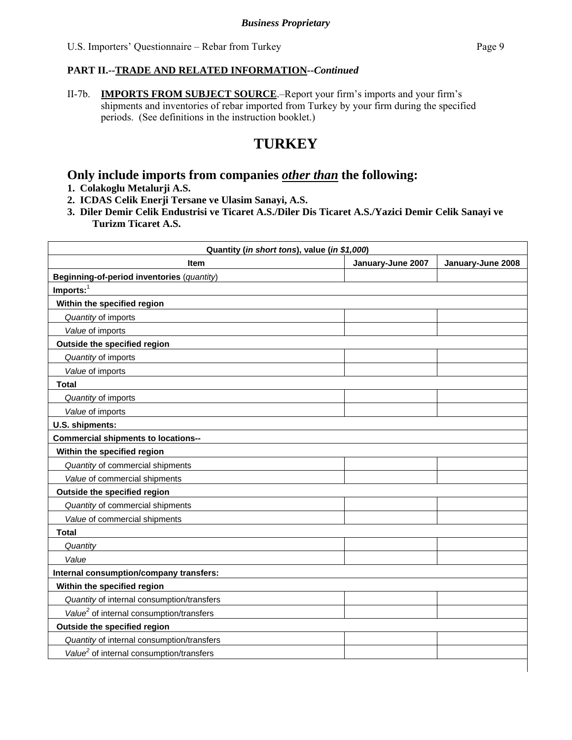II-7b. **IMPORTS FROM SUBJECT SOURCE**.–Report your firm's imports and your firm's shipments and inventories of rebar imported from Turkey by your firm during the specified periods. (See definitions in the instruction booklet.)

# **TURKEY**

### **Only include imports from companies** *other than* **the following:**

- **1. Colakoglu Metalurji A.S.**
- **2. ICDAS Celik Enerji Tersane ve Ulasim Sanayi, A.S.**
- **3. Diler Demir Celik Endustrisi ve Ticaret A.S./Diler Dis Ticaret A.S./Yazici Demir Celik Sanayi ve Turizm Ticaret A.S.**

| Quantity (in short tons), value (in \$1,000)         |                   |                   |  |  |  |
|------------------------------------------------------|-------------------|-------------------|--|--|--|
| <b>Item</b>                                          | January-June 2007 | January-June 2008 |  |  |  |
| Beginning-of-period inventories (quantity)           |                   |                   |  |  |  |
| $Imports:$ <sup>1</sup>                              |                   |                   |  |  |  |
| Within the specified region                          |                   |                   |  |  |  |
| Quantity of imports                                  |                   |                   |  |  |  |
| Value of imports                                     |                   |                   |  |  |  |
| Outside the specified region                         |                   |                   |  |  |  |
| Quantity of imports                                  |                   |                   |  |  |  |
| Value of imports                                     |                   |                   |  |  |  |
| <b>Total</b>                                         |                   |                   |  |  |  |
| Quantity of imports                                  |                   |                   |  |  |  |
| Value of imports                                     |                   |                   |  |  |  |
| U.S. shipments:                                      |                   |                   |  |  |  |
| <b>Commercial shipments to locations--</b>           |                   |                   |  |  |  |
| Within the specified region                          |                   |                   |  |  |  |
| Quantity of commercial shipments                     |                   |                   |  |  |  |
| Value of commercial shipments                        |                   |                   |  |  |  |
| Outside the specified region                         |                   |                   |  |  |  |
| Quantity of commercial shipments                     |                   |                   |  |  |  |
| Value of commercial shipments                        |                   |                   |  |  |  |
| <b>Total</b>                                         |                   |                   |  |  |  |
| Quantity                                             |                   |                   |  |  |  |
| Value                                                |                   |                   |  |  |  |
| Internal consumption/company transfers:              |                   |                   |  |  |  |
| Within the specified region                          |                   |                   |  |  |  |
| Quantity of internal consumption/transfers           |                   |                   |  |  |  |
| Value <sup>2</sup> of internal consumption/transfers |                   |                   |  |  |  |
| Outside the specified region                         |                   |                   |  |  |  |
| Quantity of internal consumption/transfers           |                   |                   |  |  |  |
| Value <sup>2</sup> of internal consumption/transfers |                   |                   |  |  |  |
|                                                      |                   |                   |  |  |  |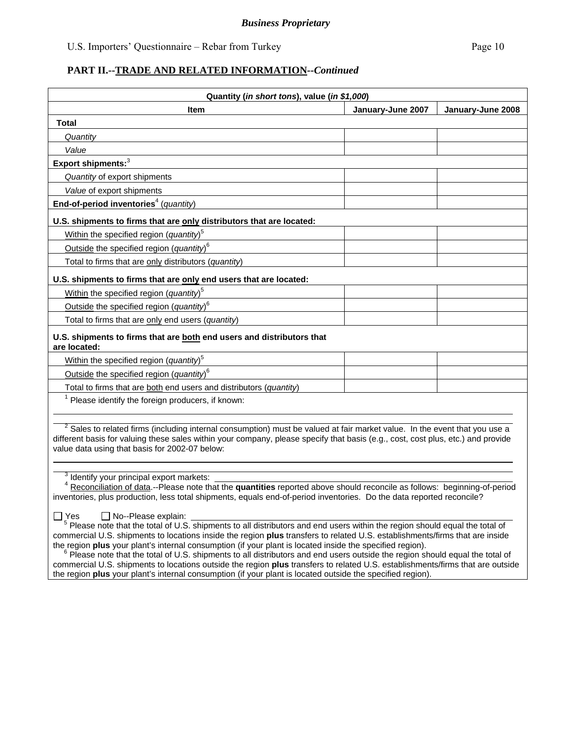| Quantity (in short tons), value (in \$1,000)                                                                                                                                                                                                                                                                       |                   |                   |  |  |  |
|--------------------------------------------------------------------------------------------------------------------------------------------------------------------------------------------------------------------------------------------------------------------------------------------------------------------|-------------------|-------------------|--|--|--|
| <b>Item</b>                                                                                                                                                                                                                                                                                                        | January-June 2007 | January-June 2008 |  |  |  |
| <b>Total</b>                                                                                                                                                                                                                                                                                                       |                   |                   |  |  |  |
| Quantity                                                                                                                                                                                                                                                                                                           |                   |                   |  |  |  |
| Value                                                                                                                                                                                                                                                                                                              |                   |                   |  |  |  |
| Export shipments: <sup>3</sup>                                                                                                                                                                                                                                                                                     |                   |                   |  |  |  |
| Quantity of export shipments                                                                                                                                                                                                                                                                                       |                   |                   |  |  |  |
| Value of export shipments                                                                                                                                                                                                                                                                                          |                   |                   |  |  |  |
| End-of-period inventories <sup>4</sup> (quantity)                                                                                                                                                                                                                                                                  |                   |                   |  |  |  |
| U.S. shipments to firms that are only distributors that are located:                                                                                                                                                                                                                                               |                   |                   |  |  |  |
| Within the specified region (quantity) <sup>5</sup>                                                                                                                                                                                                                                                                |                   |                   |  |  |  |
| Outside the specified region (quantity) <sup>6</sup>                                                                                                                                                                                                                                                               |                   |                   |  |  |  |
| Total to firms that are only distributors (quantity)                                                                                                                                                                                                                                                               |                   |                   |  |  |  |
| U.S. shipments to firms that are only end users that are located:                                                                                                                                                                                                                                                  |                   |                   |  |  |  |
| Within the specified region (quantity) <sup>5</sup>                                                                                                                                                                                                                                                                |                   |                   |  |  |  |
| Outside the specified region (quantity) <sup>6</sup>                                                                                                                                                                                                                                                               |                   |                   |  |  |  |
| Total to firms that are only end users (quantity)                                                                                                                                                                                                                                                                  |                   |                   |  |  |  |
| U.S. shipments to firms that are both end users and distributors that                                                                                                                                                                                                                                              |                   |                   |  |  |  |
| are located:                                                                                                                                                                                                                                                                                                       |                   |                   |  |  |  |
| Within the specified region (quantity) <sup>5</sup>                                                                                                                                                                                                                                                                |                   |                   |  |  |  |
| Outside the specified region (quantity) <sup>6</sup>                                                                                                                                                                                                                                                               |                   |                   |  |  |  |
| Total to firms that are both end users and distributors (quantity)                                                                                                                                                                                                                                                 |                   |                   |  |  |  |
| Please identify the foreign producers, if known:                                                                                                                                                                                                                                                                   |                   |                   |  |  |  |
|                                                                                                                                                                                                                                                                                                                    |                   |                   |  |  |  |
| $2$ Sales to related firms (including internal consumption) must be valued at fair market value. In the event that you use a<br>different basis for valuing these sales within your company, please specify that basis (e.g., cost, cost plus, etc.) and provide<br>value data using that basis for 2002-07 below: |                   |                   |  |  |  |

<sup>3</sup> Identify your principal export markets:

 <sup>4</sup> Reconciliation of data.--Please note that the **quantities** reported above should reconcile as follows: beginning-of-period inventories, plus production, less total shipments, equals end-of-period inventories. Do the data reported reconcile?

 $\overline{a}$ 

 $\Box$  Yes  $\Box$  No--Please explain:  $\Box$ <br><sup>5</sup> Please note that the total of U.S. shipments to all distributors and end users within the region should equal the total of commercial U.S. shipments to locations inside the region **plus** transfers to related U.S. establishments/firms that are inside

the region plus your plant's internal consumption (if your plant is located inside the specified region).<br><sup>6</sup> Please note that the total of U.S. shipments to all distributors and end users outside the region should equal t commercial U.S. shipments to locations outside the region **plus** transfers to related U.S. establishments/firms that are outside the region **plus** your plant's internal consumption (if your plant is located outside the specified region).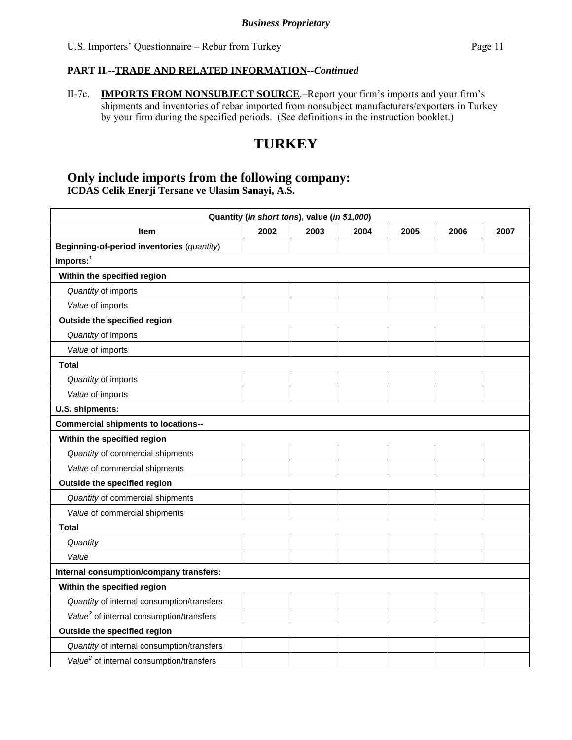II-7c. **IMPORTS FROM NONSUBJECT SOURCE**.–Report your firm's imports and your firm's shipments and inventories of rebar imported from nonsubject manufacturers/exporters in Turkey by your firm during the specified periods. (See definitions in the instruction booklet.)

# **TURKEY**

### **Only include imports from the following company: ICDAS Celik Enerji Tersane ve Ulasim Sanayi, A.S.**

| Quantity (in short tons), value (in \$1,000)         |      |      |      |      |      |      |  |  |
|------------------------------------------------------|------|------|------|------|------|------|--|--|
| <b>Item</b>                                          | 2002 | 2003 | 2004 | 2005 | 2006 | 2007 |  |  |
| Beginning-of-period inventories (quantity)           |      |      |      |      |      |      |  |  |
| $Imports:$ <sup>1</sup>                              |      |      |      |      |      |      |  |  |
| Within the specified region                          |      |      |      |      |      |      |  |  |
| Quantity of imports                                  |      |      |      |      |      |      |  |  |
| Value of imports                                     |      |      |      |      |      |      |  |  |
| Outside the specified region                         |      |      |      |      |      |      |  |  |
| Quantity of imports                                  |      |      |      |      |      |      |  |  |
| Value of imports                                     |      |      |      |      |      |      |  |  |
| <b>Total</b>                                         |      |      |      |      |      |      |  |  |
| Quantity of imports                                  |      |      |      |      |      |      |  |  |
| Value of imports                                     |      |      |      |      |      |      |  |  |
| U.S. shipments:                                      |      |      |      |      |      |      |  |  |
| <b>Commercial shipments to locations--</b>           |      |      |      |      |      |      |  |  |
| Within the specified region                          |      |      |      |      |      |      |  |  |
| Quantity of commercial shipments                     |      |      |      |      |      |      |  |  |
| Value of commercial shipments                        |      |      |      |      |      |      |  |  |
| Outside the specified region                         |      |      |      |      |      |      |  |  |
| Quantity of commercial shipments                     |      |      |      |      |      |      |  |  |
| Value of commercial shipments                        |      |      |      |      |      |      |  |  |
| <b>Total</b>                                         |      |      |      |      |      |      |  |  |
| Quantity                                             |      |      |      |      |      |      |  |  |
| Value                                                |      |      |      |      |      |      |  |  |
| Internal consumption/company transfers:              |      |      |      |      |      |      |  |  |
| Within the specified region                          |      |      |      |      |      |      |  |  |
| Quantity of internal consumption/transfers           |      |      |      |      |      |      |  |  |
| Value <sup>2</sup> of internal consumption/transfers |      |      |      |      |      |      |  |  |
| Outside the specified region                         |      |      |      |      |      |      |  |  |
| Quantity of internal consumption/transfers           |      |      |      |      |      |      |  |  |
| Value <sup>2</sup> of internal consumption/transfers |      |      |      |      |      |      |  |  |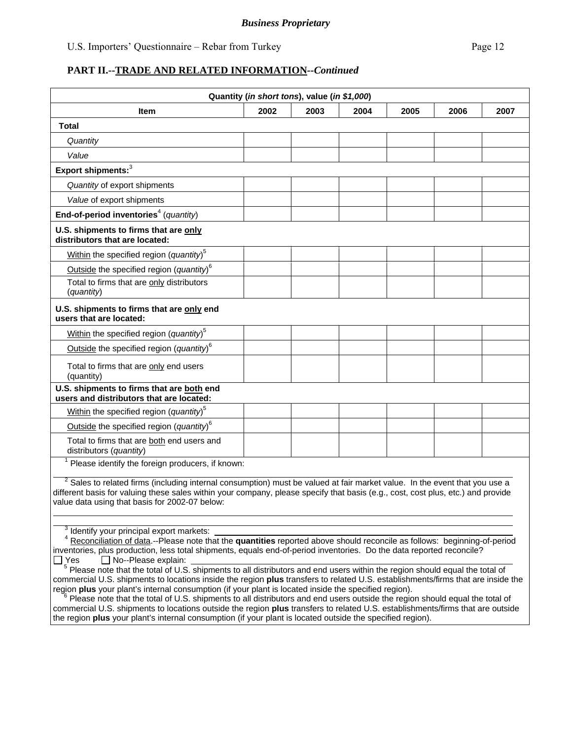| Quantity (in short tons), value (in \$1,000)                                                                                                                                                                                                                                                                                                                                                                                                                                                                                                                                                                                                                                                                                                                        |      |      |      |      |      |      |
|---------------------------------------------------------------------------------------------------------------------------------------------------------------------------------------------------------------------------------------------------------------------------------------------------------------------------------------------------------------------------------------------------------------------------------------------------------------------------------------------------------------------------------------------------------------------------------------------------------------------------------------------------------------------------------------------------------------------------------------------------------------------|------|------|------|------|------|------|
| Item                                                                                                                                                                                                                                                                                                                                                                                                                                                                                                                                                                                                                                                                                                                                                                | 2002 | 2003 | 2004 | 2005 | 2006 | 2007 |
| Total                                                                                                                                                                                                                                                                                                                                                                                                                                                                                                                                                                                                                                                                                                                                                               |      |      |      |      |      |      |
| Quantity                                                                                                                                                                                                                                                                                                                                                                                                                                                                                                                                                                                                                                                                                                                                                            |      |      |      |      |      |      |
| Value                                                                                                                                                                                                                                                                                                                                                                                                                                                                                                                                                                                                                                                                                                                                                               |      |      |      |      |      |      |
| Export shipments: <sup>3</sup>                                                                                                                                                                                                                                                                                                                                                                                                                                                                                                                                                                                                                                                                                                                                      |      |      |      |      |      |      |
| Quantity of export shipments                                                                                                                                                                                                                                                                                                                                                                                                                                                                                                                                                                                                                                                                                                                                        |      |      |      |      |      |      |
| Value of export shipments                                                                                                                                                                                                                                                                                                                                                                                                                                                                                                                                                                                                                                                                                                                                           |      |      |      |      |      |      |
| End-of-period inventories <sup>4</sup> (quantity)                                                                                                                                                                                                                                                                                                                                                                                                                                                                                                                                                                                                                                                                                                                   |      |      |      |      |      |      |
| U.S. shipments to firms that are only<br>distributors that are located:                                                                                                                                                                                                                                                                                                                                                                                                                                                                                                                                                                                                                                                                                             |      |      |      |      |      |      |
| Within the specified region (quantity) <sup>5</sup>                                                                                                                                                                                                                                                                                                                                                                                                                                                                                                                                                                                                                                                                                                                 |      |      |      |      |      |      |
| Outside the specified region (quantity) <sup>6</sup>                                                                                                                                                                                                                                                                                                                                                                                                                                                                                                                                                                                                                                                                                                                |      |      |      |      |      |      |
| Total to firms that are only distributors<br>(quantity)                                                                                                                                                                                                                                                                                                                                                                                                                                                                                                                                                                                                                                                                                                             |      |      |      |      |      |      |
| U.S. shipments to firms that are only end<br>users that are located:                                                                                                                                                                                                                                                                                                                                                                                                                                                                                                                                                                                                                                                                                                |      |      |      |      |      |      |
| Within the specified region (quantity) <sup>5</sup>                                                                                                                                                                                                                                                                                                                                                                                                                                                                                                                                                                                                                                                                                                                 |      |      |      |      |      |      |
| Outside the specified region (quantity) <sup>6</sup>                                                                                                                                                                                                                                                                                                                                                                                                                                                                                                                                                                                                                                                                                                                |      |      |      |      |      |      |
| Total to firms that are only end users<br>(quantity)                                                                                                                                                                                                                                                                                                                                                                                                                                                                                                                                                                                                                                                                                                                |      |      |      |      |      |      |
| U.S. shipments to firms that are both end<br>users and distributors that are located:                                                                                                                                                                                                                                                                                                                                                                                                                                                                                                                                                                                                                                                                               |      |      |      |      |      |      |
| Within the specified region (quantity) <sup>5</sup>                                                                                                                                                                                                                                                                                                                                                                                                                                                                                                                                                                                                                                                                                                                 |      |      |      |      |      |      |
| Outside the specified region (quantity) $6$                                                                                                                                                                                                                                                                                                                                                                                                                                                                                                                                                                                                                                                                                                                         |      |      |      |      |      |      |
| Total to firms that are both end users and<br>distributors (quantity)                                                                                                                                                                                                                                                                                                                                                                                                                                                                                                                                                                                                                                                                                               |      |      |      |      |      |      |
| <sup>1</sup> Please identify the foreign producers, if known:                                                                                                                                                                                                                                                                                                                                                                                                                                                                                                                                                                                                                                                                                                       |      |      |      |      |      |      |
| <sup>2</sup> Sales to related firms (including internal consumption) must be valued at fair market value. In the event that you use a<br>different basis for valuing these sales within your company, please specify that basis (e.g., cost, cost plus, etc.) and provide<br>value data using that basis for 2002-07 below:                                                                                                                                                                                                                                                                                                                                                                                                                                         |      |      |      |      |      |      |
| <sup>3</sup> Identify your principal export markets:<br><sup>4</sup> Reconciliation of data.--Please note that the quantities reported above should reconcile as follows: beginning-of-period<br>inventories, plus production, less total shipments, equals end-of-period inventories. Do the data reported reconcile?<br>No--Please explain:<br>l IYes                                                                                                                                                                                                                                                                                                                                                                                                             |      |      |      |      |      |      |
| <sup>5</sup> Please note that the total of U.S. shipments to all distributors and end users within the region should equal the total of<br>commercial U.S. shipments to locations inside the region plus transfers to related U.S. establishments/firms that are inside the<br>region plus your plant's internal consumption (if your plant is located inside the specified region).<br>Please note that the total of U.S. shipments to all distributors and end users outside the region should equal the total of<br>commercial U.S. shipments to locations outside the region plus transfers to related U.S. establishments/firms that are outside<br>the region plus your plant's internal consumption (if your plant is located outside the specified region). |      |      |      |      |      |      |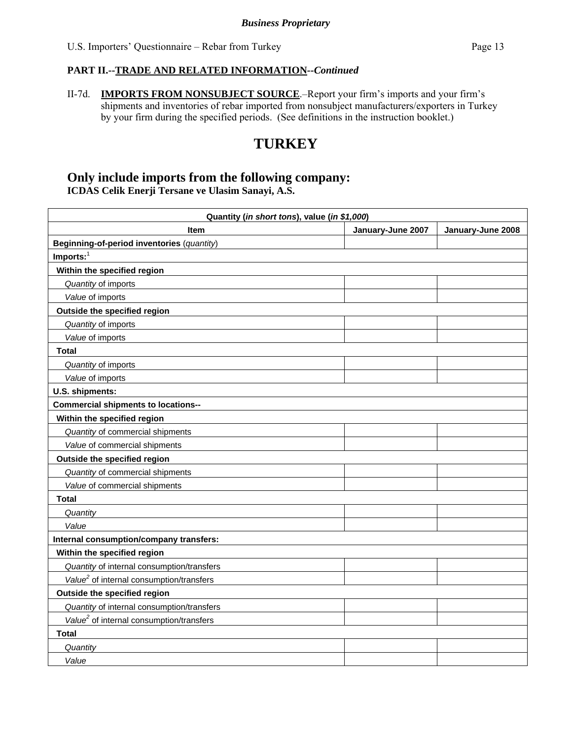II-7d. **IMPORTS FROM NONSUBJECT SOURCE**.–Report your firm's imports and your firm's shipments and inventories of rebar imported from nonsubject manufacturers/exporters in Turkey by your firm during the specified periods. (See definitions in the instruction booklet.)

# **TURKEY**

### **Only include imports from the following company: ICDAS Celik Enerji Tersane ve Ulasim Sanayi, A.S.**

| Quantity (in short tons), value (in \$1,000)         |                   |                   |  |  |
|------------------------------------------------------|-------------------|-------------------|--|--|
| <b>Item</b>                                          | January-June 2007 | January-June 2008 |  |  |
| Beginning-of-period inventories (quantity)           |                   |                   |  |  |
| $Imports:$ <sup>1</sup>                              |                   |                   |  |  |
| Within the specified region                          |                   |                   |  |  |
| Quantity of imports                                  |                   |                   |  |  |
| Value of imports                                     |                   |                   |  |  |
| Outside the specified region                         |                   |                   |  |  |
| Quantity of imports                                  |                   |                   |  |  |
| Value of imports                                     |                   |                   |  |  |
| <b>Total</b>                                         |                   |                   |  |  |
| Quantity of imports                                  |                   |                   |  |  |
| Value of imports                                     |                   |                   |  |  |
| U.S. shipments:                                      |                   |                   |  |  |
| <b>Commercial shipments to locations--</b>           |                   |                   |  |  |
| Within the specified region                          |                   |                   |  |  |
| Quantity of commercial shipments                     |                   |                   |  |  |
| Value of commercial shipments                        |                   |                   |  |  |
| Outside the specified region                         |                   |                   |  |  |
| Quantity of commercial shipments                     |                   |                   |  |  |
| Value of commercial shipments                        |                   |                   |  |  |
| <b>Total</b>                                         |                   |                   |  |  |
| Quantity                                             |                   |                   |  |  |
| Value                                                |                   |                   |  |  |
| Internal consumption/company transfers:              |                   |                   |  |  |
| Within the specified region                          |                   |                   |  |  |
| Quantity of internal consumption/transfers           |                   |                   |  |  |
| Value <sup>2</sup> of internal consumption/transfers |                   |                   |  |  |
| Outside the specified region                         |                   |                   |  |  |
| Quantity of internal consumption/transfers           |                   |                   |  |  |
| Value <sup>2</sup> of internal consumption/transfers |                   |                   |  |  |
| <b>Total</b>                                         |                   |                   |  |  |
| Quantity                                             |                   |                   |  |  |
| Value                                                |                   |                   |  |  |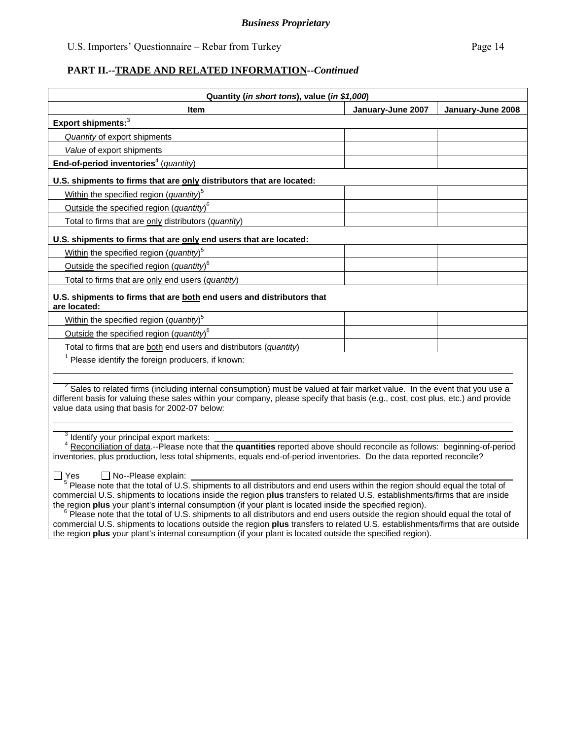| Quantity (in short tons), value (in \$1,000)                                                                                                                                                                                                                                                                                                                                                                                                                                                                                                                                                                                                                                                |                   |                   |  |  |  |
|---------------------------------------------------------------------------------------------------------------------------------------------------------------------------------------------------------------------------------------------------------------------------------------------------------------------------------------------------------------------------------------------------------------------------------------------------------------------------------------------------------------------------------------------------------------------------------------------------------------------------------------------------------------------------------------------|-------------------|-------------------|--|--|--|
| <b>Item</b>                                                                                                                                                                                                                                                                                                                                                                                                                                                                                                                                                                                                                                                                                 | January-June 2007 | January-June 2008 |  |  |  |
| Export shipments: $3$                                                                                                                                                                                                                                                                                                                                                                                                                                                                                                                                                                                                                                                                       |                   |                   |  |  |  |
| Quantity of export shipments                                                                                                                                                                                                                                                                                                                                                                                                                                                                                                                                                                                                                                                                |                   |                   |  |  |  |
| Value of export shipments                                                                                                                                                                                                                                                                                                                                                                                                                                                                                                                                                                                                                                                                   |                   |                   |  |  |  |
| End-of-period inventories <sup>4</sup> (quantity)                                                                                                                                                                                                                                                                                                                                                                                                                                                                                                                                                                                                                                           |                   |                   |  |  |  |
| U.S. shipments to firms that are only distributors that are located:                                                                                                                                                                                                                                                                                                                                                                                                                                                                                                                                                                                                                        |                   |                   |  |  |  |
| Within the specified region (quantity) <sup>5</sup>                                                                                                                                                                                                                                                                                                                                                                                                                                                                                                                                                                                                                                         |                   |                   |  |  |  |
| Outside the specified region (quantity) <sup>6</sup>                                                                                                                                                                                                                                                                                                                                                                                                                                                                                                                                                                                                                                        |                   |                   |  |  |  |
| Total to firms that are only distributors (quantity)                                                                                                                                                                                                                                                                                                                                                                                                                                                                                                                                                                                                                                        |                   |                   |  |  |  |
| U.S. shipments to firms that are only end users that are located:                                                                                                                                                                                                                                                                                                                                                                                                                                                                                                                                                                                                                           |                   |                   |  |  |  |
| Within the specified region (quantity) <sup>5</sup>                                                                                                                                                                                                                                                                                                                                                                                                                                                                                                                                                                                                                                         |                   |                   |  |  |  |
| Outside the specified region (quantity) <sup>6</sup>                                                                                                                                                                                                                                                                                                                                                                                                                                                                                                                                                                                                                                        |                   |                   |  |  |  |
| Total to firms that are only end users (quantity)                                                                                                                                                                                                                                                                                                                                                                                                                                                                                                                                                                                                                                           |                   |                   |  |  |  |
| U.S. shipments to firms that are both end users and distributors that<br>are located:                                                                                                                                                                                                                                                                                                                                                                                                                                                                                                                                                                                                       |                   |                   |  |  |  |
| Within the specified region (quantity) <sup>5</sup>                                                                                                                                                                                                                                                                                                                                                                                                                                                                                                                                                                                                                                         |                   |                   |  |  |  |
| Outside the specified region (quantity) $6$                                                                                                                                                                                                                                                                                                                                                                                                                                                                                                                                                                                                                                                 |                   |                   |  |  |  |
| Total to firms that are both end users and distributors (quantity)                                                                                                                                                                                                                                                                                                                                                                                                                                                                                                                                                                                                                          |                   |                   |  |  |  |
| <sup>1</sup> Please identify the foreign producers, if known:                                                                                                                                                                                                                                                                                                                                                                                                                                                                                                                                                                                                                               |                   |                   |  |  |  |
|                                                                                                                                                                                                                                                                                                                                                                                                                                                                                                                                                                                                                                                                                             |                   |                   |  |  |  |
| <sup>2</sup> Sales to related firms (including internal consumption) must be valued at fair market value. In the event that you use a<br>different basis for valuing these sales within your company, please specify that basis (e.g., cost, cost plus, etc.) and provide<br>value data using that basis for 2002-07 below:                                                                                                                                                                                                                                                                                                                                                                 |                   |                   |  |  |  |
| <sup>3</sup> Identify your principal export markets:<br><sup>4</sup> Reconciliation of data.--Please note that the quantities reported above should reconcile as follows: beginning-of-period<br>inventories, plus production, less total shipments, equals end-of-period inventories. Do the data reported reconcile?                                                                                                                                                                                                                                                                                                                                                                      |                   |                   |  |  |  |
| □ No--Please explain:<br>∏ Yes<br><sup>5</sup> Please note that the total of U.S. shipments to all distributors and end users within the region should equal the total of<br>commercial U.S. shipments to locations inside the region plus transfers to related U.S. establishments/firms that are inside<br>the region plus your plant's internal consumption (if your plant is located inside the specified region).<br>$6$ Please note that the total of U.S. shipments to all distributors and end users outside the region should equal the total of<br>commercial U.S. shipments to locations outside the region plus transfers to related U.S. establishments/firms that are outside |                   |                   |  |  |  |

the region **plus** your plant's internal consumption (if your plant is located outside the specified region).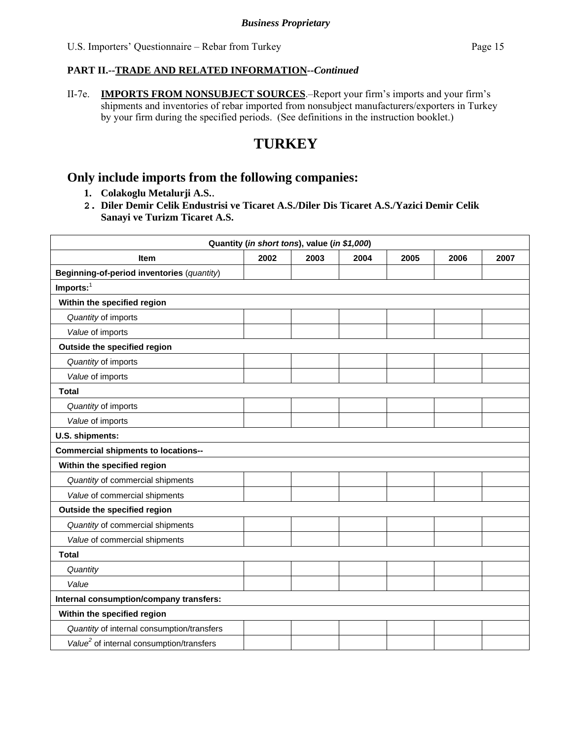II-7e. **IMPORTS FROM NONSUBJECT SOURCES**.–Report your firm's imports and your firm's shipments and inventories of rebar imported from nonsubject manufacturers/exporters in Turkey by your firm during the specified periods. (See definitions in the instruction booklet.)

# **TURKEY**

# **Only include imports from the following companies:**

- **1. Colakoglu Metalurji A.S.**.
- **2. Diler Demir Celik Endustrisi ve Ticaret A.S./Diler Dis Ticaret A.S./Yazici Demir Celik Sanayi ve Turizm Ticaret A.S.**

| Quantity (in short tons), value (in \$1,000)         |      |      |      |      |      |      |
|------------------------------------------------------|------|------|------|------|------|------|
| <b>Item</b>                                          | 2002 | 2003 | 2004 | 2005 | 2006 | 2007 |
| Beginning-of-period inventories (quantity)           |      |      |      |      |      |      |
| Imports: $1$                                         |      |      |      |      |      |      |
| Within the specified region                          |      |      |      |      |      |      |
| Quantity of imports                                  |      |      |      |      |      |      |
| Value of imports                                     |      |      |      |      |      |      |
| Outside the specified region                         |      |      |      |      |      |      |
| Quantity of imports                                  |      |      |      |      |      |      |
| Value of imports                                     |      |      |      |      |      |      |
| <b>Total</b>                                         |      |      |      |      |      |      |
| Quantity of imports                                  |      |      |      |      |      |      |
| Value of imports                                     |      |      |      |      |      |      |
| U.S. shipments:                                      |      |      |      |      |      |      |
| <b>Commercial shipments to locations--</b>           |      |      |      |      |      |      |
| Within the specified region                          |      |      |      |      |      |      |
| Quantity of commercial shipments                     |      |      |      |      |      |      |
| Value of commercial shipments                        |      |      |      |      |      |      |
| Outside the specified region                         |      |      |      |      |      |      |
| Quantity of commercial shipments                     |      |      |      |      |      |      |
| Value of commercial shipments                        |      |      |      |      |      |      |
| <b>Total</b>                                         |      |      |      |      |      |      |
| Quantity                                             |      |      |      |      |      |      |
| Value                                                |      |      |      |      |      |      |
| Internal consumption/company transfers:              |      |      |      |      |      |      |
| Within the specified region                          |      |      |      |      |      |      |
| Quantity of internal consumption/transfers           |      |      |      |      |      |      |
| Value <sup>2</sup> of internal consumption/transfers |      |      |      |      |      |      |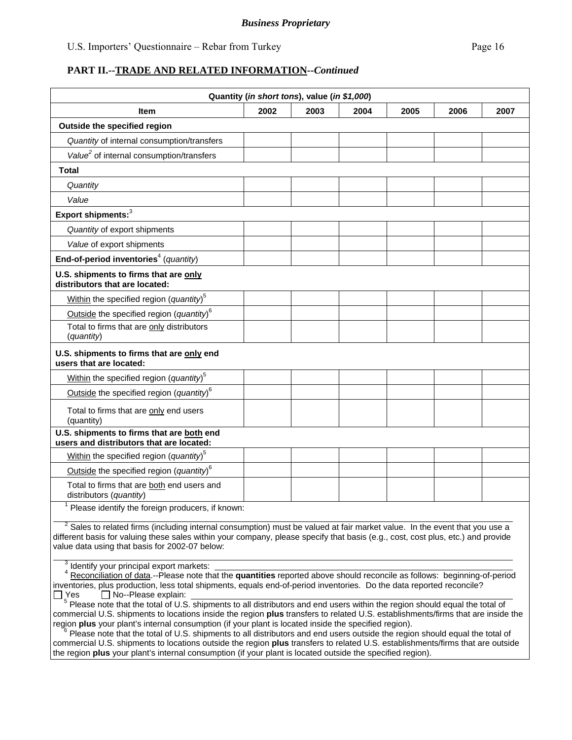#### *Business Proprietary*

#### **PART II.--TRADE AND RELATED INFORMATION***--Continued*

| Quantity (in short tons), value (in \$1,000)                                                                                                                                                                                                                                                                                |      |      |      |      |      |      |
|-----------------------------------------------------------------------------------------------------------------------------------------------------------------------------------------------------------------------------------------------------------------------------------------------------------------------------|------|------|------|------|------|------|
| ltem                                                                                                                                                                                                                                                                                                                        | 2002 | 2003 | 2004 | 2005 | 2006 | 2007 |
| Outside the specified region                                                                                                                                                                                                                                                                                                |      |      |      |      |      |      |
| Quantity of internal consumption/transfers                                                                                                                                                                                                                                                                                  |      |      |      |      |      |      |
| Value <sup>2</sup> of internal consumption/transfers                                                                                                                                                                                                                                                                        |      |      |      |      |      |      |
| Total                                                                                                                                                                                                                                                                                                                       |      |      |      |      |      |      |
| Quantity                                                                                                                                                                                                                                                                                                                    |      |      |      |      |      |      |
| Value                                                                                                                                                                                                                                                                                                                       |      |      |      |      |      |      |
| Export shipments: <sup>3</sup>                                                                                                                                                                                                                                                                                              |      |      |      |      |      |      |
| Quantity of export shipments                                                                                                                                                                                                                                                                                                |      |      |      |      |      |      |
| Value of export shipments                                                                                                                                                                                                                                                                                                   |      |      |      |      |      |      |
| End-of-period inventories <sup>4</sup> (quantity)                                                                                                                                                                                                                                                                           |      |      |      |      |      |      |
| U.S. shipments to firms that are only<br>distributors that are located:                                                                                                                                                                                                                                                     |      |      |      |      |      |      |
| Within the specified region (quantity) <sup>5</sup>                                                                                                                                                                                                                                                                         |      |      |      |      |      |      |
| Outside the specified region (quantity) $6$                                                                                                                                                                                                                                                                                 |      |      |      |      |      |      |
| Total to firms that are only distributors<br>(quantity)                                                                                                                                                                                                                                                                     |      |      |      |      |      |      |
| U.S. shipments to firms that are only end<br>users that are located:                                                                                                                                                                                                                                                        |      |      |      |      |      |      |
| Within the specified region (quantity) <sup>5</sup>                                                                                                                                                                                                                                                                         |      |      |      |      |      |      |
| Outside the specified region (quantity) $6$                                                                                                                                                                                                                                                                                 |      |      |      |      |      |      |
| Total to firms that are only end users<br>(quantity)                                                                                                                                                                                                                                                                        |      |      |      |      |      |      |
| U.S. shipments to firms that are both end                                                                                                                                                                                                                                                                                   |      |      |      |      |      |      |
| users and distributors that are located:                                                                                                                                                                                                                                                                                    |      |      |      |      |      |      |
| Within the specified region (quantity) <sup>5</sup>                                                                                                                                                                                                                                                                         |      |      |      |      |      |      |
| Outside the specified region (quantity) <sup>6</sup>                                                                                                                                                                                                                                                                        |      |      |      |      |      |      |
| Total to firms that are both end users and<br>distributors (quantity)                                                                                                                                                                                                                                                       |      |      |      |      |      |      |
| Please identify the foreign producers, if known:                                                                                                                                                                                                                                                                            |      |      |      |      |      |      |
| <sup>2</sup> Sales to related firms (including internal consumption) must be valued at fair market value. In the event that you use a<br>different basis for valuing these sales within your company, please specify that basis (e.g., cost, cost plus, etc.) and provide<br>value data using that basis for 2002-07 below: |      |      |      |      |      |      |
| <sup>3</sup> Identify your principal export markets:<br>Reconciliation of data.--Please note that the quantities reported above should reconcile as follows: beginning-of-period<br>inventories, plus production, less total shipments, equals end-of-period inventories. Do the data reported reconcile?                   |      |      |      |      |      |      |
| $\Box$ No--Please explain:<br>∐ Yes<br><sup>5</sup> Please note that the total of U.S. shipments to all distributors and end users within the region should equal the total of                                                                                                                                              |      |      |      |      |      |      |

commercial U.S. shipments to locations inside the region **plus** transfers to related U.S. establishments/firms that are inside the region plus your plant's internal consumption (if your plant is located inside the specified region).<br><sup>6</sup> Please note that the total of U.S. shipments to all distributors and end users outside the region should equal the t

commercial U.S. shipments to locations outside the region **plus** transfers to related U.S. establishments/firms that are outside the region **plus** your plant's internal consumption (if your plant is located outside the specified region).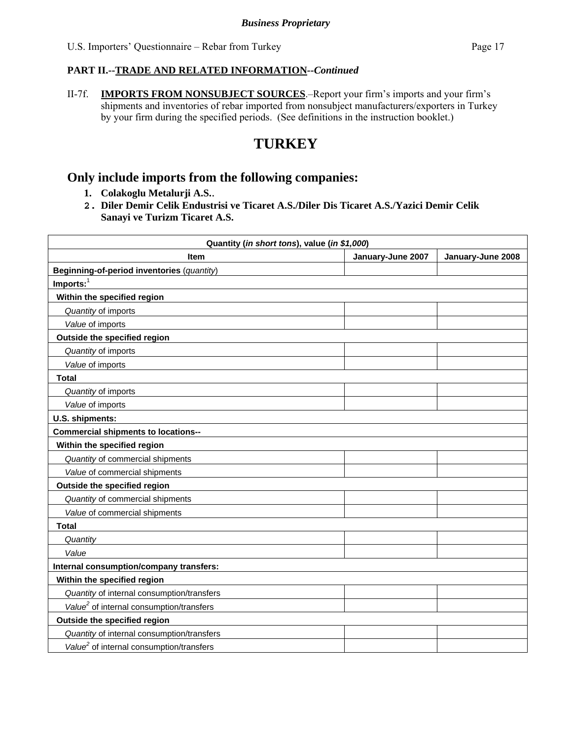II-7f. **IMPORTS FROM NONSUBJECT SOURCES**.–Report your firm's imports and your firm's shipments and inventories of rebar imported from nonsubject manufacturers/exporters in Turkey by your firm during the specified periods. (See definitions in the instruction booklet.)

# **TURKEY**

## **Only include imports from the following companies:**

- **1. Colakoglu Metalurji A.S.**.
- **2. Diler Demir Celik Endustrisi ve Ticaret A.S./Diler Dis Ticaret A.S./Yazici Demir Celik Sanayi ve Turizm Ticaret A.S.**

| Quantity (in short tons), value (in \$1,000)         |                   |                   |  |  |
|------------------------------------------------------|-------------------|-------------------|--|--|
| <b>Item</b>                                          | January-June 2007 | January-June 2008 |  |  |
| Beginning-of-period inventories (quantity)           |                   |                   |  |  |
| $Imports:$ <sup>1</sup>                              |                   |                   |  |  |
| Within the specified region                          |                   |                   |  |  |
| Quantity of imports                                  |                   |                   |  |  |
| Value of imports                                     |                   |                   |  |  |
| Outside the specified region                         |                   |                   |  |  |
| Quantity of imports                                  |                   |                   |  |  |
| Value of imports                                     |                   |                   |  |  |
| <b>Total</b>                                         |                   |                   |  |  |
| Quantity of imports                                  |                   |                   |  |  |
| Value of imports                                     |                   |                   |  |  |
| U.S. shipments:                                      |                   |                   |  |  |
| <b>Commercial shipments to locations--</b>           |                   |                   |  |  |
| Within the specified region                          |                   |                   |  |  |
| Quantity of commercial shipments                     |                   |                   |  |  |
| Value of commercial shipments                        |                   |                   |  |  |
| Outside the specified region                         |                   |                   |  |  |
| Quantity of commercial shipments                     |                   |                   |  |  |
| Value of commercial shipments                        |                   |                   |  |  |
| <b>Total</b>                                         |                   |                   |  |  |
| Quantity                                             |                   |                   |  |  |
| Value                                                |                   |                   |  |  |
| Internal consumption/company transfers:              |                   |                   |  |  |
| Within the specified region                          |                   |                   |  |  |
| Quantity of internal consumption/transfers           |                   |                   |  |  |
| Value <sup>2</sup> of internal consumption/transfers |                   |                   |  |  |
| Outside the specified region                         |                   |                   |  |  |
| Quantity of internal consumption/transfers           |                   |                   |  |  |
| Value <sup>2</sup> of internal consumption/transfers |                   |                   |  |  |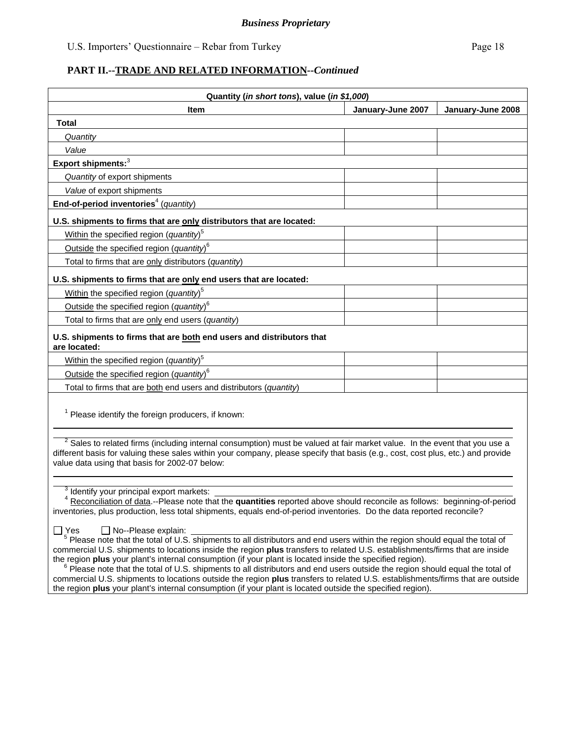| Quantity (in short tons), value (in \$1,000)                                          |                   |                   |  |  |
|---------------------------------------------------------------------------------------|-------------------|-------------------|--|--|
| <b>Item</b>                                                                           | January-June 2007 | January-June 2008 |  |  |
| <b>Total</b>                                                                          |                   |                   |  |  |
| Quantity                                                                              |                   |                   |  |  |
| Value                                                                                 |                   |                   |  |  |
| Export shipments: <sup>3</sup>                                                        |                   |                   |  |  |
| Quantity of export shipments                                                          |                   |                   |  |  |
| Value of export shipments                                                             |                   |                   |  |  |
| End-of-period inventories <sup>4</sup> (quantity)                                     |                   |                   |  |  |
| U.S. shipments to firms that are only distributors that are located:                  |                   |                   |  |  |
| Within the specified region (quantity) <sup>5</sup>                                   |                   |                   |  |  |
| Outside the specified region (quantity) <sup>6</sup>                                  |                   |                   |  |  |
| Total to firms that are only distributors (quantity)                                  |                   |                   |  |  |
| U.S. shipments to firms that are only end users that are located:                     |                   |                   |  |  |
| Within the specified region (quantity) <sup>5</sup>                                   |                   |                   |  |  |
| Outside the specified region (quantity) <sup>6</sup>                                  |                   |                   |  |  |
| Total to firms that are only end users (quantity)                                     |                   |                   |  |  |
| U.S. shipments to firms that are both end users and distributors that<br>are located: |                   |                   |  |  |
| Within the specified region (quantity) <sup>5</sup>                                   |                   |                   |  |  |
| Outside the specified region (quantity) $6$                                           |                   |                   |  |  |
| Total to firms that are both end users and distributors (quantity)                    |                   |                   |  |  |
| <sup>1</sup> Please identify the foreign producers, if known:                         |                   |                   |  |  |

 $2$  Sales to related firms (including internal consumption) must be valued at fair market value. In the event that you use a different basis for valuing these sales within your company, please specify that basis (e.g., cost, cost plus, etc.) and provide value data using that basis for 2002-07 below:  $\overline{a}$ 

<sup>3</sup> Identify your principal export markets:

 <sup>4</sup> Reconciliation of data.--Please note that the **quantities** reported above should reconcile as follows: beginning-of-period inventories, plus production, less total shipments, equals end-of-period inventories. Do the data reported reconcile?

 $\overline{a}$ 

 $\Box$  Yes  $\Box$  No--Please explain:  $\Box$ <br><sup>5</sup> Please note that the total of U.S. shipments to all distributors and end users within the region should equal the total of commercial U.S. shipments to locations inside the region **plus** transfers to related U.S. establishments/firms that are inside the region plus your plant's internal consumption (if your plant is located inside the specified region).<br><sup>6</sup> Please note that the total of U.S. shipments to all distributors and end users outside the region should equal t

commercial U.S. shipments to locations outside the region **plus** transfers to related U.S. establishments/firms that are outside the region **plus** your plant's internal consumption (if your plant is located outside the specified region).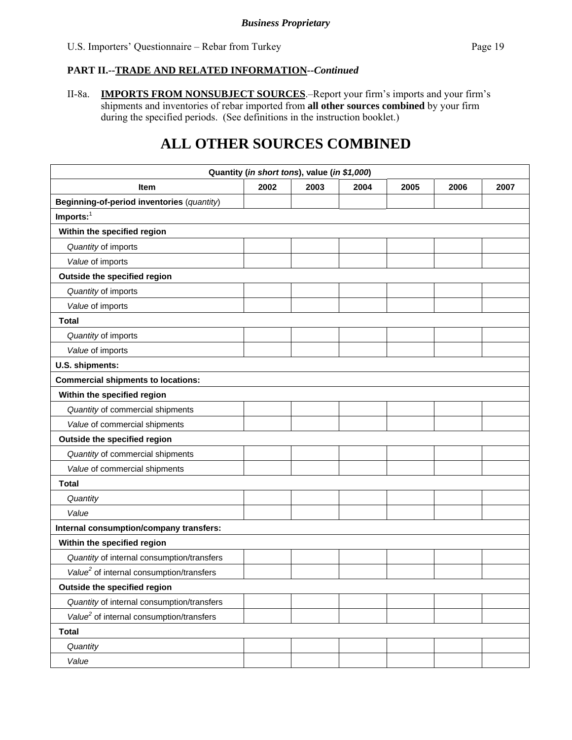II-8a. **IMPORTS FROM NONSUBJECT SOURCES**.–Report your firm's imports and your firm's shipments and inventories of rebar imported from **all other sources combined** by your firm during the specified periods. (See definitions in the instruction booklet.)

# **ALL OTHER SOURCES COMBINED**

| Quantity (in short tons), value (in \$1,000)         |      |      |      |      |      |      |
|------------------------------------------------------|------|------|------|------|------|------|
| <b>Item</b>                                          | 2002 | 2003 | 2004 | 2005 | 2006 | 2007 |
| Beginning-of-period inventories (quantity)           |      |      |      |      |      |      |
| $Imports:$ <sup>1</sup>                              |      |      |      |      |      |      |
| Within the specified region                          |      |      |      |      |      |      |
| Quantity of imports                                  |      |      |      |      |      |      |
| Value of imports                                     |      |      |      |      |      |      |
| Outside the specified region                         |      |      |      |      |      |      |
| Quantity of imports                                  |      |      |      |      |      |      |
| Value of imports                                     |      |      |      |      |      |      |
| <b>Total</b>                                         |      |      |      |      |      |      |
| Quantity of imports                                  |      |      |      |      |      |      |
| Value of imports                                     |      |      |      |      |      |      |
| U.S. shipments:                                      |      |      |      |      |      |      |
| <b>Commercial shipments to locations:</b>            |      |      |      |      |      |      |
| Within the specified region                          |      |      |      |      |      |      |
| Quantity of commercial shipments                     |      |      |      |      |      |      |
| Value of commercial shipments                        |      |      |      |      |      |      |
| Outside the specified region                         |      |      |      |      |      |      |
| Quantity of commercial shipments                     |      |      |      |      |      |      |
| Value of commercial shipments                        |      |      |      |      |      |      |
| <b>Total</b>                                         |      |      |      |      |      |      |
| Quantity                                             |      |      |      |      |      |      |
| Value                                                |      |      |      |      |      |      |
| Internal consumption/company transfers:              |      |      |      |      |      |      |
| Within the specified region                          |      |      |      |      |      |      |
| Quantity of internal consumption/transfers           |      |      |      |      |      |      |
| Value <sup>2</sup> of internal consumption/transfers |      |      |      |      |      |      |
| Outside the specified region                         |      |      |      |      |      |      |
| Quantity of internal consumption/transfers           |      |      |      |      |      |      |
| Value <sup>2</sup> of internal consumption/transfers |      |      |      |      |      |      |
| <b>Total</b>                                         |      |      |      |      |      |      |
| Quantity                                             |      |      |      |      |      |      |
| Value                                                |      |      |      |      |      |      |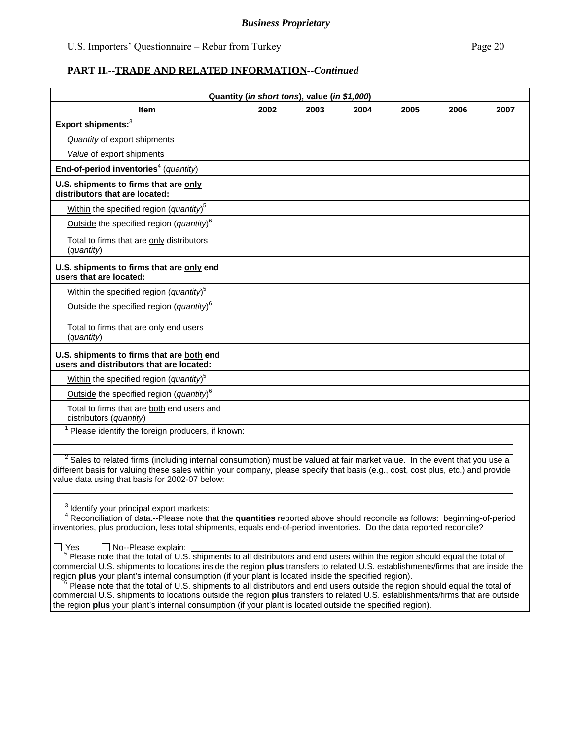|                                                                                                                                                                                                                                                                                                                                                                            |      | Quantity (in short tons), value (in \$1,000) |      |      |      |      |
|----------------------------------------------------------------------------------------------------------------------------------------------------------------------------------------------------------------------------------------------------------------------------------------------------------------------------------------------------------------------------|------|----------------------------------------------|------|------|------|------|
| <b>Item</b>                                                                                                                                                                                                                                                                                                                                                                | 2002 | 2003                                         | 2004 | 2005 | 2006 | 2007 |
| Export shipments: <sup>3</sup>                                                                                                                                                                                                                                                                                                                                             |      |                                              |      |      |      |      |
| Quantity of export shipments                                                                                                                                                                                                                                                                                                                                               |      |                                              |      |      |      |      |
| Value of export shipments                                                                                                                                                                                                                                                                                                                                                  |      |                                              |      |      |      |      |
| End-of-period inventories <sup>4</sup> (quantity)                                                                                                                                                                                                                                                                                                                          |      |                                              |      |      |      |      |
| U.S. shipments to firms that are only<br>distributors that are located:                                                                                                                                                                                                                                                                                                    |      |                                              |      |      |      |      |
| Within the specified region (quantity) <sup>5</sup>                                                                                                                                                                                                                                                                                                                        |      |                                              |      |      |      |      |
| Outside the specified region (quantity) <sup>6</sup>                                                                                                                                                                                                                                                                                                                       |      |                                              |      |      |      |      |
| Total to firms that are only distributors<br>(quantity)                                                                                                                                                                                                                                                                                                                    |      |                                              |      |      |      |      |
| U.S. shipments to firms that are only end<br>users that are located:                                                                                                                                                                                                                                                                                                       |      |                                              |      |      |      |      |
| Within the specified region (quantity) <sup>5</sup>                                                                                                                                                                                                                                                                                                                        |      |                                              |      |      |      |      |
| Outside the specified region (quantity) $6$                                                                                                                                                                                                                                                                                                                                |      |                                              |      |      |      |      |
| Total to firms that are only end users<br>(quantity)                                                                                                                                                                                                                                                                                                                       |      |                                              |      |      |      |      |
| U.S. shipments to firms that are both end<br>users and distributors that are located:                                                                                                                                                                                                                                                                                      |      |                                              |      |      |      |      |
| Within the specified region (quantity) <sup>5</sup>                                                                                                                                                                                                                                                                                                                        |      |                                              |      |      |      |      |
| Outside the specified region (quantity) $6$                                                                                                                                                                                                                                                                                                                                |      |                                              |      |      |      |      |
| Total to firms that are both end users and<br>distributors (quantity)                                                                                                                                                                                                                                                                                                      |      |                                              |      |      |      |      |
| Please identify the foreign producers, if known:                                                                                                                                                                                                                                                                                                                           |      |                                              |      |      |      |      |
| $2$ Sales to related firms (including internal consumption) must be valued at fair market value. In the event that you use a<br>different basis for valuing these sales within your company, please specify that basis (e.g., cost, cost plus, etc.) and provide<br>value data using that basis for 2002-07 below:<br><sup>3</sup> Identify your principal export markets: |      |                                              |      |      |      |      |
| Reconciliation of data.--Please note that the quantities reported above should reconcile as follows: beginning-of-period<br>inventories, plus production, less total shipments, equals end-of-period inventories. Do the data reported reconcile?                                                                                                                          |      |                                              |      |      |      |      |
| ∏ Yes<br>$\Box$ No--Please explain:<br>Please note that the total of U.S. shipments to all distributors and end users within the region should equal the total of                                                                                                                                                                                                          |      |                                              |      |      |      |      |

commercial U.S. shipments to locations inside the region **plus** transfers to related U.S. establishments/firms that are inside the

 $6$  Please note that the total of U.S. shipments to all distributors and end users outside the region should equal the total of commercial U.S. shipments to locations outside the region **plus** transfers to related U.S. establishments/firms that are outside the region **plus** your plant's internal consumption (if your plant is located outside the specified region).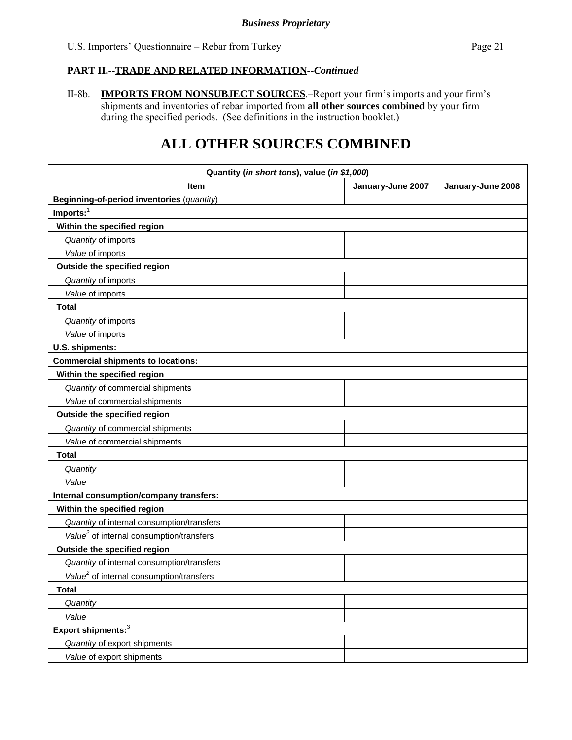II-8b. **IMPORTS FROM NONSUBJECT SOURCES**.–Report your firm's imports and your firm's shipments and inventories of rebar imported from **all other sources combined** by your firm during the specified periods. (See definitions in the instruction booklet.)

# **ALL OTHER SOURCES COMBINED**

| Quantity (in short tons), value (in \$1,000)         |                   |                   |  |  |
|------------------------------------------------------|-------------------|-------------------|--|--|
| <b>Item</b>                                          | January-June 2007 | January-June 2008 |  |  |
| Beginning-of-period inventories (quantity)           |                   |                   |  |  |
| $Imports:$ <sup>1</sup>                              |                   |                   |  |  |
| Within the specified region                          |                   |                   |  |  |
| Quantity of imports                                  |                   |                   |  |  |
| Value of imports                                     |                   |                   |  |  |
| Outside the specified region                         |                   |                   |  |  |
| Quantity of imports                                  |                   |                   |  |  |
| Value of imports                                     |                   |                   |  |  |
| <b>Total</b>                                         |                   |                   |  |  |
| Quantity of imports                                  |                   |                   |  |  |
| Value of imports                                     |                   |                   |  |  |
| U.S. shipments:                                      |                   |                   |  |  |
| <b>Commercial shipments to locations:</b>            |                   |                   |  |  |
| Within the specified region                          |                   |                   |  |  |
| Quantity of commercial shipments                     |                   |                   |  |  |
| Value of commercial shipments                        |                   |                   |  |  |
| Outside the specified region                         |                   |                   |  |  |
| Quantity of commercial shipments                     |                   |                   |  |  |
| Value of commercial shipments                        |                   |                   |  |  |
| <b>Total</b>                                         |                   |                   |  |  |
| Quantity                                             |                   |                   |  |  |
| Value                                                |                   |                   |  |  |
| Internal consumption/company transfers:              |                   |                   |  |  |
| Within the specified region                          |                   |                   |  |  |
| Quantity of internal consumption/transfers           |                   |                   |  |  |
| Value <sup>2</sup> of internal consumption/transfers |                   |                   |  |  |
| Outside the specified region                         |                   |                   |  |  |
| Quantity of internal consumption/transfers           |                   |                   |  |  |
| Value <sup>2</sup> of internal consumption/transfers |                   |                   |  |  |
| <b>Total</b>                                         |                   |                   |  |  |
| Quantity                                             |                   |                   |  |  |
| Value                                                |                   |                   |  |  |
| Export shipments: <sup>3</sup>                       |                   |                   |  |  |
| Quantity of export shipments                         |                   |                   |  |  |
| Value of export shipments                            |                   |                   |  |  |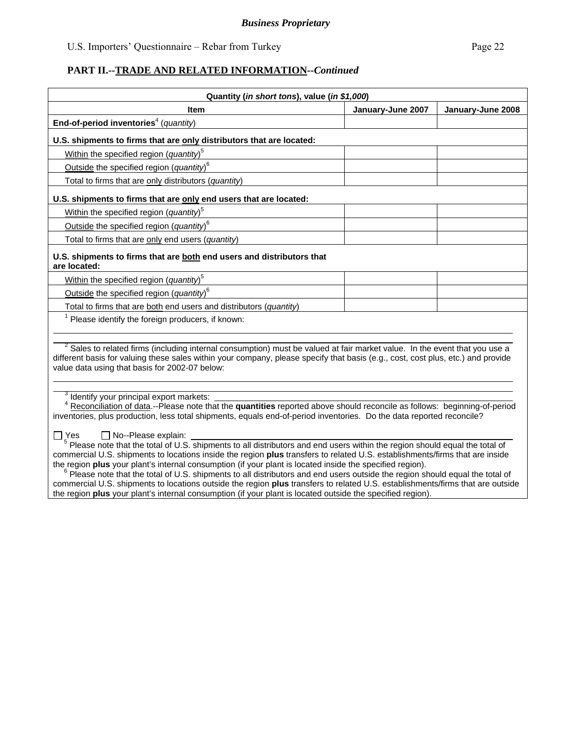| Quantity (in short tons), value (in \$1,000)                                                                                                                                                                                                                                                                                                                                                                       |                   |                   |  |  |
|--------------------------------------------------------------------------------------------------------------------------------------------------------------------------------------------------------------------------------------------------------------------------------------------------------------------------------------------------------------------------------------------------------------------|-------------------|-------------------|--|--|
| <b>Item</b>                                                                                                                                                                                                                                                                                                                                                                                                        | January-June 2007 | January-June 2008 |  |  |
| End-of-period inventories <sup>4</sup> (quantity)                                                                                                                                                                                                                                                                                                                                                                  |                   |                   |  |  |
| U.S. shipments to firms that are only distributors that are located:                                                                                                                                                                                                                                                                                                                                               |                   |                   |  |  |
| Within the specified region (quantity) <sup>5</sup>                                                                                                                                                                                                                                                                                                                                                                |                   |                   |  |  |
| Outside the specified region (quantity) <sup>6</sup>                                                                                                                                                                                                                                                                                                                                                               |                   |                   |  |  |
| Total to firms that are only distributors (quantity)                                                                                                                                                                                                                                                                                                                                                               |                   |                   |  |  |
| U.S. shipments to firms that are only end users that are located:                                                                                                                                                                                                                                                                                                                                                  |                   |                   |  |  |
| Within the specified region (quantity) <sup>5</sup>                                                                                                                                                                                                                                                                                                                                                                |                   |                   |  |  |
| Outside the specified region (quantity) <sup>6</sup>                                                                                                                                                                                                                                                                                                                                                               |                   |                   |  |  |
| Total to firms that are only end users (quantity)                                                                                                                                                                                                                                                                                                                                                                  |                   |                   |  |  |
| U.S. shipments to firms that are both end users and distributors that<br>are located:                                                                                                                                                                                                                                                                                                                              |                   |                   |  |  |
| Within the specified region (quantity) <sup>5</sup>                                                                                                                                                                                                                                                                                                                                                                |                   |                   |  |  |
| Outside the specified region (quantity) <sup>6</sup>                                                                                                                                                                                                                                                                                                                                                               |                   |                   |  |  |
| Total to firms that are both end users and distributors (quantity)                                                                                                                                                                                                                                                                                                                                                 |                   |                   |  |  |
| $1$ Please identify the foreign producers, if known:                                                                                                                                                                                                                                                                                                                                                               |                   |                   |  |  |
|                                                                                                                                                                                                                                                                                                                                                                                                                    |                   |                   |  |  |
| $2$ Sales to related firms (including internal consumption) must be valued at fair market value. In the event that you use a<br>different basis for valuing these sales within your company, please specify that basis (e.g., cost, cost plus, etc.) and provide<br>value data using that basis for 2002-07 below:                                                                                                 |                   |                   |  |  |
| Identify your principal export markets:<br><sup>4</sup> Reconciliation of data.--Please note that the quantities reported above should reconcile as follows: beginning-of-period<br>inventories, plus production, less total shipments, equals end-of-period inventories. Do the data reported reconcile?                                                                                                          |                   |                   |  |  |
| No--Please explain:<br>Yes<br><sup>5</sup> Please note that the total of U.S. shipments to all distributors and end users within the region should equal the total of<br>commercial U.S. shipments to locations inside the region plus transfers to related U.S. establishments/firms that are inside<br>the region plus your plant's internal consumption (if your plant is located inside the specified region). |                   |                   |  |  |

 $6$  Please note that the total of U.S. shipments to all distributors and end users outside the region should equal the total of commercial U.S. shipments to locations outside the region **plus** transfers to related U.S. establishments/firms that are outside the region **plus** your plant's internal consumption (if your plant is located outside the specified region).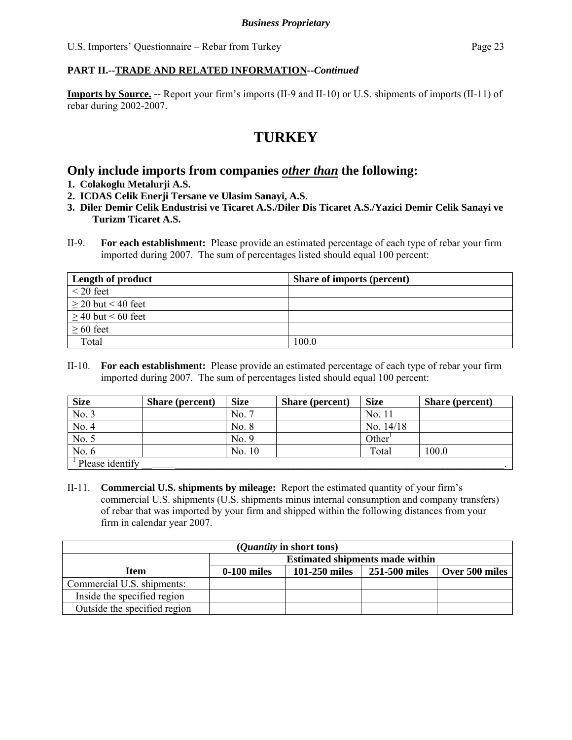**Imports by Source. --** Report your firm's imports (II-9 and II-10) or U.S. shipments of imports (II-11) of rebar during 2002-2007.

# **TURKEY**

# **Only include imports from companies** *other than* **the following:**

- **1. Colakoglu Metalurji A.S.**
- **2. ICDAS Celik Enerji Tersane ve Ulasim Sanayi, A.S.**
- **3. Diler Demir Celik Endustrisi ve Ticaret A.S./Diler Dis Ticaret A.S./Yazici Demir Celik Sanayi ve Turizm Ticaret A.S.**
- II-9. **For each establishment:** Please provide an estimated percentage of each type of rebar your firm imported during 2007. The sum of percentages listed should equal 100 percent:

| <b>Length of product</b> | <b>Share of imports (percent)</b> |
|--------------------------|-----------------------------------|
| $\leq$ 20 feet           |                                   |
| $\geq 20$ but < 40 feet  |                                   |
| $\geq 40$ but < 60 feet  |                                   |
| $\geq 60$ feet           |                                   |
| Total                    | 100.0                             |

II-10. **For each establishment:** Please provide an estimated percentage of each type of rebar your firm imported during 2007. The sum of percentages listed should equal 100 percent:

| <b>Size</b>         | <b>Share (percent)</b> | <b>Size</b> | <b>Share (percent)</b> | <b>Size</b>        | Share (percent) |
|---------------------|------------------------|-------------|------------------------|--------------------|-----------------|
| No. 3               |                        | No. 7       |                        | No. 11             |                 |
| No. 4               |                        | No. 8       |                        | No. 14/18          |                 |
| No. 5               |                        | No. 9       |                        | Other <sup>1</sup> |                 |
| No. 6               |                        | No. 10      |                        | Total              | 100.0           |
| $1$ Please identify |                        |             |                        |                    |                 |

II-11. **Commercial U.S. shipments by mileage:** Report the estimated quantity of your firm's commercial U.S. shipments (U.S. shipments minus internal consumption and company transfers) of rebar that was imported by your firm and shipped within the following distances from your firm in calendar year 2007.

| ( <i>Quantity</i> in short tons) |                                                                     |  |  |  |  |  |
|----------------------------------|---------------------------------------------------------------------|--|--|--|--|--|
|                                  | <b>Estimated shipments made within</b>                              |  |  |  |  |  |
| Item                             | 101-250 miles<br>251-500 miles<br>$0-100$ miles<br>  Over 500 miles |  |  |  |  |  |
| Commercial U.S. shipments:       |                                                                     |  |  |  |  |  |
| Inside the specified region      |                                                                     |  |  |  |  |  |
| Outside the specified region     |                                                                     |  |  |  |  |  |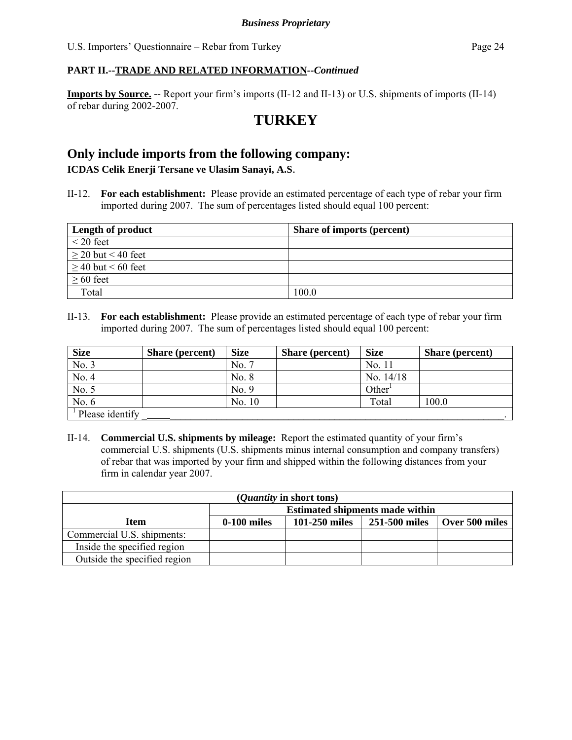**Imports by Source. --** Report your firm's imports (II-12 and II-13) or U.S. shipments of imports (II-14) of rebar during 2002-2007.

# **TURKEY**

## **Only include imports from the following company:**

**ICDAS Celik Enerji Tersane ve Ulasim Sanayi, A.S**.

II-12. **For each establishment:** Please provide an estimated percentage of each type of rebar your firm imported during 2007. The sum of percentages listed should equal 100 percent:

| <b>Length of product</b> | <b>Share of imports (percent)</b> |
|--------------------------|-----------------------------------|
| $\leq$ 20 feet           |                                   |
| $\geq 20$ but < 40 feet  |                                   |
| $\geq$ 40 but < 60 feet  |                                   |
| $\geq 60$ feet           |                                   |
| Total                    | 100.0                             |

II-13. **For each establishment:** Please provide an estimated percentage of each type of rebar your firm imported during 2007. The sum of percentages listed should equal 100 percent:

| <b>Size</b>                  | Share (percent) | <b>Size</b> | <b>Share</b> (percent) | <b>Size</b>        | Share (percent) |
|------------------------------|-----------------|-------------|------------------------|--------------------|-----------------|
| No. 3                        |                 | No. 7       |                        | No. 11             |                 |
| No. 4                        |                 | No. 8       |                        | No. $14/18$        |                 |
| No. 5                        |                 | No. 9       |                        | Other <sup>1</sup> |                 |
| No. $6$                      |                 | No. 10      |                        | Total              | 100.0           |
| <sup>1</sup> Please identify |                 |             |                        |                    |                 |

II-14. **Commercial U.S. shipments by mileage:** Report the estimated quantity of your firm's commercial U.S. shipments (U.S. shipments minus internal consumption and company transfers) of rebar that was imported by your firm and shipped within the following distances from your firm in calendar year 2007.

| ( <i>Quantity</i> in short tons) |                                                                   |  |  |  |  |  |
|----------------------------------|-------------------------------------------------------------------|--|--|--|--|--|
|                                  | <b>Estimated shipments made within</b>                            |  |  |  |  |  |
| Item                             | 101-250 miles<br>251-500 miles<br>Over 500 miles<br>$0-100$ miles |  |  |  |  |  |
| Commercial U.S. shipments:       |                                                                   |  |  |  |  |  |
| Inside the specified region      |                                                                   |  |  |  |  |  |
| Outside the specified region     |                                                                   |  |  |  |  |  |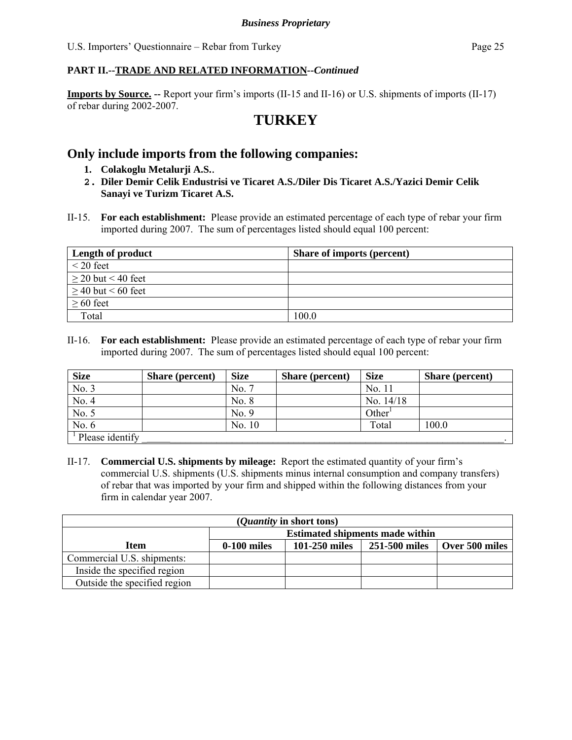**Imports by Source. --** Report your firm's imports (II-15 and II-16) or U.S. shipments of imports (II-17) of rebar during 2002-2007.

# **TURKEY**

### **Only include imports from the following companies:**

- **1. Colakoglu Metalurji A.S.**.
- **2. Diler Demir Celik Endustrisi ve Ticaret A.S./Diler Dis Ticaret A.S./Yazici Demir Celik Sanayi ve Turizm Ticaret A.S.**
- II-15. **For each establishment:** Please provide an estimated percentage of each type of rebar your firm imported during 2007. The sum of percentages listed should equal 100 percent:

| Length of product       | <b>Share of imports (percent)</b> |
|-------------------------|-----------------------------------|
| $\leq$ 20 feet          |                                   |
| $\geq$ 20 but < 40 feet |                                   |
| $\geq$ 40 but < 60 feet |                                   |
| $\geq 60$ feet          |                                   |
| Total                   | 100.0                             |

II-16. **For each establishment:** Please provide an estimated percentage of each type of rebar your firm imported during 2007. The sum of percentages listed should equal 100 percent:

| <b>Size</b>                   | <b>Share (percent)</b> | <b>Size</b> | Share (percent) | <b>Size</b> | <b>Share</b> (percent) |
|-------------------------------|------------------------|-------------|-----------------|-------------|------------------------|
| No. 3                         |                        | No. 7       |                 | No. 11      |                        |
| No. 4                         |                        | No. 8       |                 | No. 14/18   |                        |
| No. 5                         |                        | No. 9       |                 | Other       |                        |
| No. 6                         |                        | No. 10      |                 | Total       | 100.0                  |
| $\frac{1}{2}$ Please identify |                        |             |                 |             |                        |

II-17. **Commercial U.S. shipments by mileage:** Report the estimated quantity of your firm's commercial U.S. shipments (U.S. shipments minus internal consumption and company transfers) of rebar that was imported by your firm and shipped within the following distances from your firm in calendar year 2007.

| ( <i>Quantity</i> in short tons) |                                                                                                               |  |  |  |  |  |
|----------------------------------|---------------------------------------------------------------------------------------------------------------|--|--|--|--|--|
|                                  | <b>Estimated shipments made within</b><br>251-500 miles<br>101-250 miles<br>  Over 500 miles<br>$0-100$ miles |  |  |  |  |  |
| Item                             |                                                                                                               |  |  |  |  |  |
| Commercial U.S. shipments:       |                                                                                                               |  |  |  |  |  |
| Inside the specified region      |                                                                                                               |  |  |  |  |  |
| Outside the specified region     |                                                                                                               |  |  |  |  |  |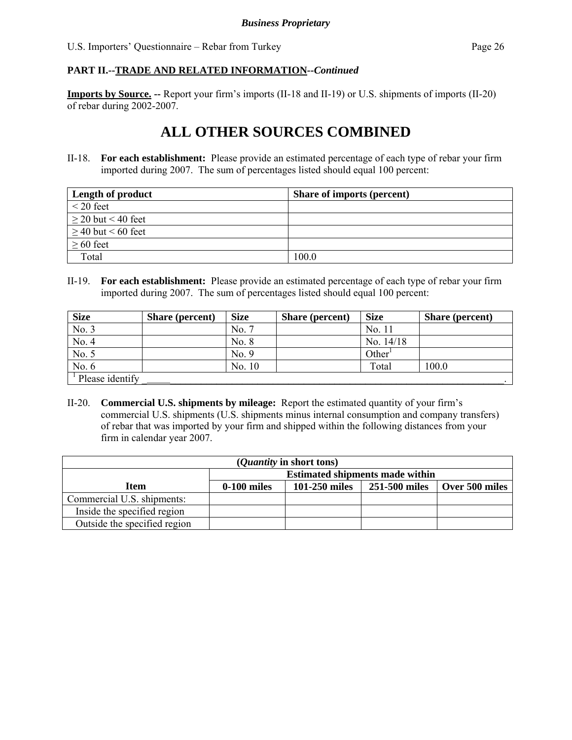**Imports by Source. --** Report your firm's imports (II-18 and II-19) or U.S. shipments of imports (II-20) of rebar during 2002-2007.

# **ALL OTHER SOURCES COMBINED**

II-18. **For each establishment:** Please provide an estimated percentage of each type of rebar your firm imported during 2007. The sum of percentages listed should equal 100 percent:

| Length of product       | <b>Share of imports (percent)</b> |
|-------------------------|-----------------------------------|
| $\leq$ 20 feet          |                                   |
| $\geq$ 20 but < 40 feet |                                   |
| $\geq$ 40 but < 60 feet |                                   |
| $\geq 60$ feet          |                                   |
| Total                   | 100.0                             |

II-19. **For each establishment:** Please provide an estimated percentage of each type of rebar your firm imported during 2007. The sum of percentages listed should equal 100 percent:

| <b>Size</b>                  | <b>Share</b> (percent) | <b>Size</b> | <b>Share (percent)</b> | <b>Size</b>        | <b>Share (percent)</b> |
|------------------------------|------------------------|-------------|------------------------|--------------------|------------------------|
| No. 3                        |                        | No. 7       |                        | No. 11             |                        |
| No. 4                        |                        | No. 8       |                        | No. 14/18          |                        |
| No. 5                        |                        | No. 9       |                        | Other <sup>1</sup> |                        |
| No. 6                        |                        | No. 10      |                        | Total              | 100.0                  |
| <sup>1</sup> Please identify |                        |             |                        |                    |                        |

II-20. **Commercial U.S. shipments by mileage:** Report the estimated quantity of your firm's commercial U.S. shipments (U.S. shipments minus internal consumption and company transfers) of rebar that was imported by your firm and shipped within the following distances from your firm in calendar year 2007.

| ( <i>Quantity</i> in short tons) |                                                                   |  |  |  |  |  |
|----------------------------------|-------------------------------------------------------------------|--|--|--|--|--|
|                                  | <b>Estimated shipments made within</b>                            |  |  |  |  |  |
| <b>Item</b>                      | 101-250 miles<br>Over 500 miles<br>$0-100$ miles<br>251-500 miles |  |  |  |  |  |
| Commercial U.S. shipments:       |                                                                   |  |  |  |  |  |
| Inside the specified region      |                                                                   |  |  |  |  |  |
| Outside the specified region     |                                                                   |  |  |  |  |  |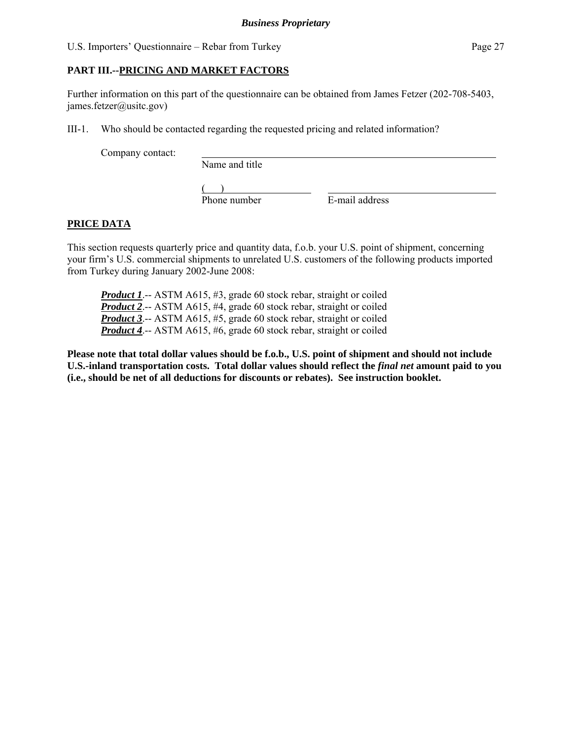#### **PART III.--PRICING AND MARKET FACTORS**

Further information on this part of the questionnaire can be obtained from James Fetzer (202-708-5403, james.fetzer@usitc.gov)

III-1. Who should be contacted regarding the requested pricing and related information?

Company contact:

Name and title

 $($ Phone number E-mail address

### **PRICE DATA**

This section requests quarterly price and quantity data, f.o.b. your U.S. point of shipment, concerning your firm's U.S. commercial shipments to unrelated U.S. customers of the following products imported from Turkey during January 2002-June 2008:

*Product 1.*-- ASTM A615, #3, grade 60 stock rebar, straight or coiled *Product 2*.-- ASTM A615, #4, grade 60 stock rebar, straight or coiled *Product 3*.-- ASTM A615, #5, grade 60 stock rebar, straight or coiled *Product 4*.-- ASTM A615, #6, grade 60 stock rebar, straight or coiled

**Please note that total dollar values should be f.o.b., U.S. point of shipment and should not include U.S.-inland transportation costs. Total dollar values should reflect the** *final net* **amount paid to you (i.e., should be net of all deductions for discounts or rebates). See instruction booklet.**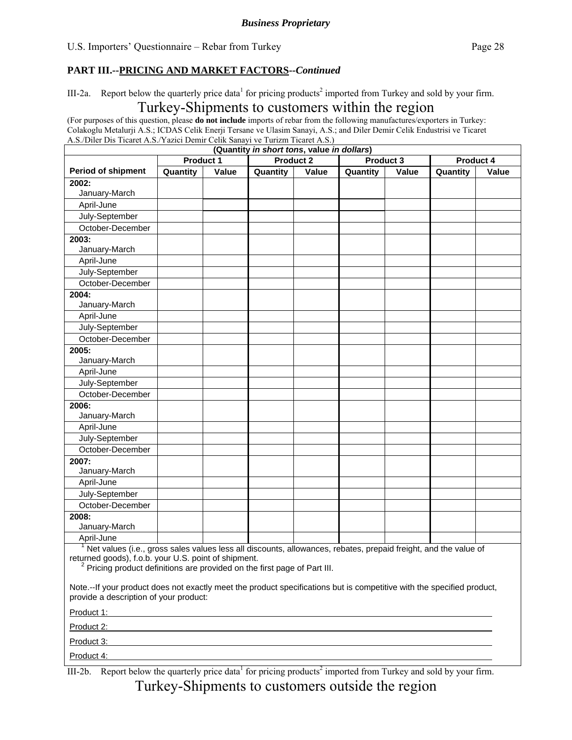III-2a. Report below the quarterly price data<sup>1</sup> for pricing products<sup>2</sup> imported from Turkey and sold by your firm.

### Turkey-Shipments to customers within the region

(For purposes of this question, please **do not include** imports of rebar from the following manufactures/exporters in Turkey: Colakoglu Metalurji A.S.; ICDAS Celik Enerji Tersane ve Ulasim Sanayi, A.S.; and Diler Demir Celik Endustrisi ve Ticaret A.S./Diler Dis Ticaret A.S./Yazici Demir Celik Sanayi ve Turizm Ticaret A.S.)

|                                                                                                                                                                                                                                |                  |       | (Quantity in short tons, value in dollars)                                                                            |       |          |           |          |           |
|--------------------------------------------------------------------------------------------------------------------------------------------------------------------------------------------------------------------------------|------------------|-------|-----------------------------------------------------------------------------------------------------------------------|-------|----------|-----------|----------|-----------|
|                                                                                                                                                                                                                                | <b>Product 1</b> |       | <b>Product 2</b>                                                                                                      |       |          | Product 3 |          | Product 4 |
| Period of shipment                                                                                                                                                                                                             | Quantity         | Value | Quantity                                                                                                              | Value | Quantity | Value     | Quantity | Value     |
| 2002:<br>January-March                                                                                                                                                                                                         |                  |       |                                                                                                                       |       |          |           |          |           |
|                                                                                                                                                                                                                                |                  |       |                                                                                                                       |       |          |           |          |           |
| April-June                                                                                                                                                                                                                     |                  |       |                                                                                                                       |       |          |           |          |           |
| July-September                                                                                                                                                                                                                 |                  |       |                                                                                                                       |       |          |           |          |           |
| October-December                                                                                                                                                                                                               |                  |       |                                                                                                                       |       |          |           |          |           |
| 2003:<br>January-March                                                                                                                                                                                                         |                  |       |                                                                                                                       |       |          |           |          |           |
| April-June                                                                                                                                                                                                                     |                  |       |                                                                                                                       |       |          |           |          |           |
| July-September                                                                                                                                                                                                                 |                  |       |                                                                                                                       |       |          |           |          |           |
| October-December                                                                                                                                                                                                               |                  |       |                                                                                                                       |       |          |           |          |           |
| 2004:<br>January-March                                                                                                                                                                                                         |                  |       |                                                                                                                       |       |          |           |          |           |
| April-June                                                                                                                                                                                                                     |                  |       |                                                                                                                       |       |          |           |          |           |
| July-September                                                                                                                                                                                                                 |                  |       |                                                                                                                       |       |          |           |          |           |
| October-December                                                                                                                                                                                                               |                  |       |                                                                                                                       |       |          |           |          |           |
| 2005:<br>January-March                                                                                                                                                                                                         |                  |       |                                                                                                                       |       |          |           |          |           |
| April-June                                                                                                                                                                                                                     |                  |       |                                                                                                                       |       |          |           |          |           |
| July-September                                                                                                                                                                                                                 |                  |       |                                                                                                                       |       |          |           |          |           |
| October-December                                                                                                                                                                                                               |                  |       |                                                                                                                       |       |          |           |          |           |
| 2006:                                                                                                                                                                                                                          |                  |       |                                                                                                                       |       |          |           |          |           |
| January-March                                                                                                                                                                                                                  |                  |       |                                                                                                                       |       |          |           |          |           |
| April-June                                                                                                                                                                                                                     |                  |       |                                                                                                                       |       |          |           |          |           |
| July-September                                                                                                                                                                                                                 |                  |       |                                                                                                                       |       |          |           |          |           |
| October-December                                                                                                                                                                                                               |                  |       |                                                                                                                       |       |          |           |          |           |
| 2007:                                                                                                                                                                                                                          |                  |       |                                                                                                                       |       |          |           |          |           |
| January-March                                                                                                                                                                                                                  |                  |       |                                                                                                                       |       |          |           |          |           |
| April-June                                                                                                                                                                                                                     |                  |       |                                                                                                                       |       |          |           |          |           |
| July-September                                                                                                                                                                                                                 |                  |       |                                                                                                                       |       |          |           |          |           |
| October-December                                                                                                                                                                                                               |                  |       |                                                                                                                       |       |          |           |          |           |
| 2008:<br>January-March                                                                                                                                                                                                         |                  |       |                                                                                                                       |       |          |           |          |           |
| April-June                                                                                                                                                                                                                     |                  |       |                                                                                                                       |       |          |           |          |           |
| Net values (i.e., gross sales values less all discounts, allowances, rebates, prepaid freight, and the value of                                                                                                                |                  |       |                                                                                                                       |       |          |           |          |           |
| returned goods), f.o.b. your U.S. point of shipment.<br>ے<br>Pricing product definitions are provided on the first page of Part III.                                                                                           |                  |       |                                                                                                                       |       |          |           |          |           |
| Note.--If your product does not exactly meet the product specifications but is competitive with the specified product,<br>provide a description of your product:                                                               |                  |       |                                                                                                                       |       |          |           |          |           |
| Product 1: Product 1: All and the second contract of the second contract of the second contract of the second contract of the second contract of the second contract of the second contract of the second contract of the seco |                  |       |                                                                                                                       |       |          |           |          |           |
| Product 2:                                                                                                                                                                                                                     |                  |       | <u> 1989 - Johann Stoff, deutscher Stoff, der Stoff, der Stoff, der Stoff, der Stoff, der Stoff, der Stoff, der S</u> |       |          |           |          |           |
| Product 3: <b>Product 3: Product 3: Product 3: Product 3: Product 3: Product 3: Product 3: Product 3: Product 3: Product 3: Product 3: Product 3: Product 3: Product 3: Product 3: Product 3: Pr</b>                           |                  |       |                                                                                                                       |       |          |           |          |           |
| Product 4:                                                                                                                                                                                                                     |                  |       |                                                                                                                       |       |          |           |          |           |

III-2b. Report below the quarterly price data<sup>1</sup> for pricing products<sup>2</sup> imported from Turkey and sold by your firm. Turkey-Shipments to customers outside the region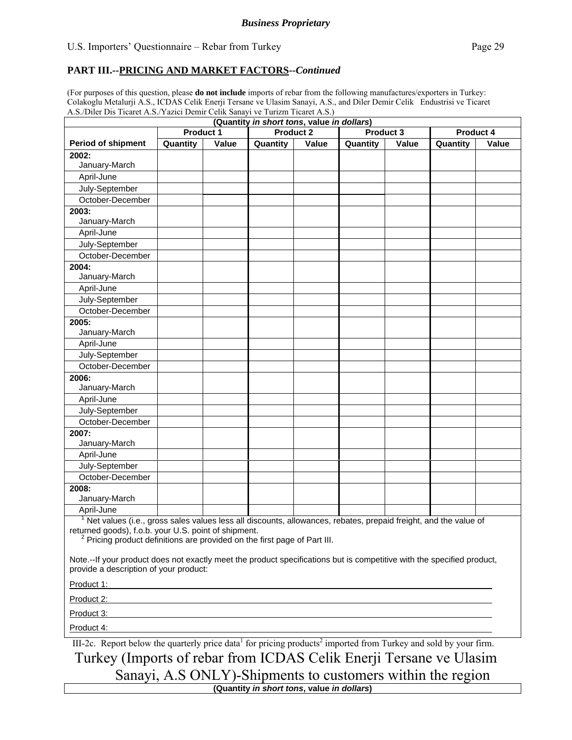#### **PART III.--PRICING AND MARKET FACTORS***--Continued*

(For purposes of this question, please **do not include** imports of rebar from the following manufactures/exporters in Turkey: Colakoglu Metalurji A.S., ICDAS Celik Enerji Tersane ve Ulasim Sanayi, A.S., and Diler Demir Celik Endustrisi ve Ticaret A.S./Diler Dis Ticaret A.S./Yazici Demir Celik Sanayi ve Turizm Ticaret A.S.)

| (Quantity in short tons, value in dollars)                                                                                                                       |                                                                  |       |                  |       |           |       |           |       |
|------------------------------------------------------------------------------------------------------------------------------------------------------------------|------------------------------------------------------------------|-------|------------------|-------|-----------|-------|-----------|-------|
|                                                                                                                                                                  | <b>Product 1</b>                                                 |       | <b>Product 2</b> |       | Product 3 |       | Product 4 |       |
| <b>Period of shipment</b>                                                                                                                                        | Quantity                                                         | Value | Quantity         | Value | Quantity  | Value | Quantity  | Value |
| 2002:                                                                                                                                                            |                                                                  |       |                  |       |           |       |           |       |
| January-March                                                                                                                                                    |                                                                  |       |                  |       |           |       |           |       |
| April-June                                                                                                                                                       |                                                                  |       |                  |       |           |       |           |       |
| July-September                                                                                                                                                   |                                                                  |       |                  |       |           |       |           |       |
| October-December                                                                                                                                                 |                                                                  |       |                  |       |           |       |           |       |
| 2003:                                                                                                                                                            |                                                                  |       |                  |       |           |       |           |       |
| January-March                                                                                                                                                    |                                                                  |       |                  |       |           |       |           |       |
| April-June                                                                                                                                                       |                                                                  |       |                  |       |           |       |           |       |
| July-September                                                                                                                                                   |                                                                  |       |                  |       |           |       |           |       |
| October-December                                                                                                                                                 |                                                                  |       |                  |       |           |       |           |       |
| 2004:                                                                                                                                                            |                                                                  |       |                  |       |           |       |           |       |
| January-March                                                                                                                                                    |                                                                  |       |                  |       |           |       |           |       |
| April-June                                                                                                                                                       |                                                                  |       |                  |       |           |       |           |       |
| July-September<br>October-December                                                                                                                               |                                                                  |       |                  |       |           |       |           |       |
|                                                                                                                                                                  |                                                                  |       |                  |       |           |       |           |       |
| 2005:<br>January-March                                                                                                                                           |                                                                  |       |                  |       |           |       |           |       |
| April-June                                                                                                                                                       |                                                                  |       |                  |       |           |       |           |       |
| July-September                                                                                                                                                   |                                                                  |       |                  |       |           |       |           |       |
| October-December                                                                                                                                                 |                                                                  |       |                  |       |           |       |           |       |
| 2006:                                                                                                                                                            |                                                                  |       |                  |       |           |       |           |       |
| January-March                                                                                                                                                    |                                                                  |       |                  |       |           |       |           |       |
| April-June                                                                                                                                                       |                                                                  |       |                  |       |           |       |           |       |
| July-September                                                                                                                                                   |                                                                  |       |                  |       |           |       |           |       |
| October-December                                                                                                                                                 |                                                                  |       |                  |       |           |       |           |       |
| 2007:                                                                                                                                                            |                                                                  |       |                  |       |           |       |           |       |
| January-March                                                                                                                                                    |                                                                  |       |                  |       |           |       |           |       |
| April-June                                                                                                                                                       |                                                                  |       |                  |       |           |       |           |       |
| July-September                                                                                                                                                   |                                                                  |       |                  |       |           |       |           |       |
| October-December                                                                                                                                                 |                                                                  |       |                  |       |           |       |           |       |
| 2008:                                                                                                                                                            |                                                                  |       |                  |       |           |       |           |       |
| January-March                                                                                                                                                    |                                                                  |       |                  |       |           |       |           |       |
| April-June                                                                                                                                                       |                                                                  |       |                  |       |           |       |           |       |
| Net values (i.e., gross sales values less all discounts, allowances, rebates, prepaid freight, and the value of                                                  |                                                                  |       |                  |       |           |       |           |       |
| returned goods), f.o.b. your U.S. point of shipment.<br>$\frac{2}{3}$ Pricing product definitions are provided on the first page of Part III.                    |                                                                  |       |                  |       |           |       |           |       |
|                                                                                                                                                                  |                                                                  |       |                  |       |           |       |           |       |
| Note.--If your product does not exactly meet the product specifications but is competitive with the specified product,<br>provide a description of your product: |                                                                  |       |                  |       |           |       |           |       |
| Product 1:                                                                                                                                                       | <u> 1989 - Johann John Stone, Amerikaansk politiker († 1908)</u> |       |                  |       |           |       |           |       |
| Product 2:                                                                                                                                                       |                                                                  |       |                  |       |           |       |           |       |
| Product 3:                                                                                                                                                       |                                                                  |       |                  |       |           |       |           |       |
| Product 4:                                                                                                                                                       | <u> 1989 - Jan Barnett, fransk politiker (d. 1989)</u>           |       |                  |       |           |       |           |       |
|                                                                                                                                                                  |                                                                  |       |                  |       |           |       |           |       |

III-2c. Report below the quarterly price data<sup>1</sup> for pricing products<sup>2</sup> imported from Turkey and sold by your firm. Turkey (Imports of rebar from ICDAS Celik Enerji Tersane ve Ulasim Sanayi, A.S ONLY)-Shipments to customers within the region

**(Quantity** *in short tons***, value** *in dollars***)**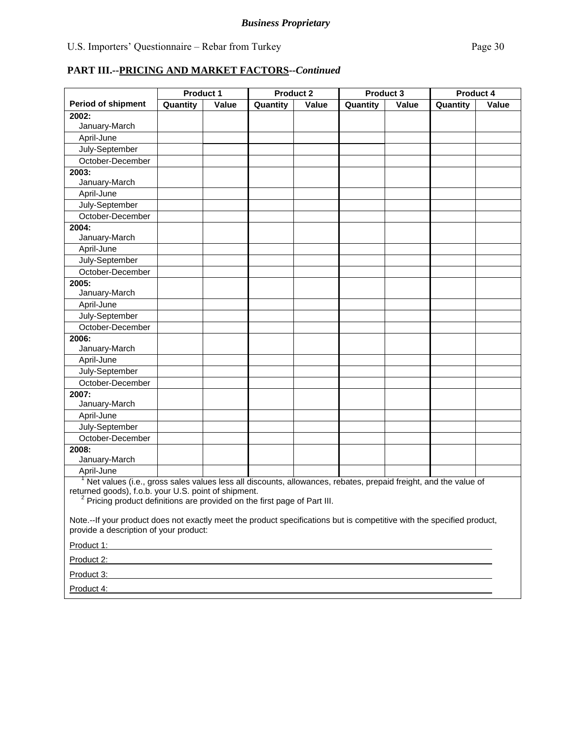|                                                                                                                                              | Product 1                                                     |       | <b>Product 2</b> |       | Product 3 |       | Product 4 |       |
|----------------------------------------------------------------------------------------------------------------------------------------------|---------------------------------------------------------------|-------|------------------|-------|-----------|-------|-----------|-------|
| <b>Period of shipment</b>                                                                                                                    | Quantity                                                      | Value | Quantity         | Value | Quantity  | Value | Quantity  | Value |
| 2002:                                                                                                                                        |                                                               |       |                  |       |           |       |           |       |
| January-March                                                                                                                                |                                                               |       |                  |       |           |       |           |       |
| April-June                                                                                                                                   |                                                               |       |                  |       |           |       |           |       |
| July-September                                                                                                                               |                                                               |       |                  |       |           |       |           |       |
| October-December                                                                                                                             |                                                               |       |                  |       |           |       |           |       |
| 2003:                                                                                                                                        |                                                               |       |                  |       |           |       |           |       |
| January-March                                                                                                                                |                                                               |       |                  |       |           |       |           |       |
| April-June                                                                                                                                   |                                                               |       |                  |       |           |       |           |       |
| July-September                                                                                                                               |                                                               |       |                  |       |           |       |           |       |
| October-December                                                                                                                             |                                                               |       |                  |       |           |       |           |       |
| 2004:                                                                                                                                        |                                                               |       |                  |       |           |       |           |       |
| January-March                                                                                                                                |                                                               |       |                  |       |           |       |           |       |
| April-June                                                                                                                                   |                                                               |       |                  |       |           |       |           |       |
| July-September                                                                                                                               |                                                               |       |                  |       |           |       |           |       |
| October-December                                                                                                                             |                                                               |       |                  |       |           |       |           |       |
| 2005:                                                                                                                                        |                                                               |       |                  |       |           |       |           |       |
| January-March                                                                                                                                |                                                               |       |                  |       |           |       |           |       |
| April-June                                                                                                                                   |                                                               |       |                  |       |           |       |           |       |
| July-September                                                                                                                               |                                                               |       |                  |       |           |       |           |       |
| October-December                                                                                                                             |                                                               |       |                  |       |           |       |           |       |
| 2006:                                                                                                                                        |                                                               |       |                  |       |           |       |           |       |
| January-March                                                                                                                                |                                                               |       |                  |       |           |       |           |       |
| April-June                                                                                                                                   |                                                               |       |                  |       |           |       |           |       |
| July-September                                                                                                                               |                                                               |       |                  |       |           |       |           |       |
| October-December                                                                                                                             |                                                               |       |                  |       |           |       |           |       |
| 2007:                                                                                                                                        |                                                               |       |                  |       |           |       |           |       |
| January-March                                                                                                                                |                                                               |       |                  |       |           |       |           |       |
| April-June                                                                                                                                   |                                                               |       |                  |       |           |       |           |       |
| July-September                                                                                                                               |                                                               |       |                  |       |           |       |           |       |
| October-December                                                                                                                             |                                                               |       |                  |       |           |       |           |       |
| 2008:                                                                                                                                        |                                                               |       |                  |       |           |       |           |       |
| January-March                                                                                                                                |                                                               |       |                  |       |           |       |           |       |
| April-June                                                                                                                                   |                                                               |       |                  |       |           |       |           |       |
| Net values (i.e., gross sales values less all discounts, allowances, rebates, prepaid freight, and the value of                              |                                                               |       |                  |       |           |       |           |       |
| returned goods), f.o.b. your U.S. point of shipment.<br><sup>2</sup> Pricing product definitions are provided on the first page of Part III. |                                                               |       |                  |       |           |       |           |       |
|                                                                                                                                              |                                                               |       |                  |       |           |       |           |       |
| Note.--If your product does not exactly meet the product specifications but is competitive with the specified product,                       |                                                               |       |                  |       |           |       |           |       |
| provide a description of your product:                                                                                                       |                                                               |       |                  |       |           |       |           |       |
| Product 1:                                                                                                                                   | <u> 1989 - Johann Stein, mars an deutscher Stein († 1989)</u> |       |                  |       |           |       |           |       |
| Product 2:                                                                                                                                   |                                                               |       |                  |       |           |       |           |       |
| Product 3:                                                                                                                                   |                                                               |       |                  |       |           |       |           |       |
| Product 4:                                                                                                                                   |                                                               |       |                  |       |           |       |           |       |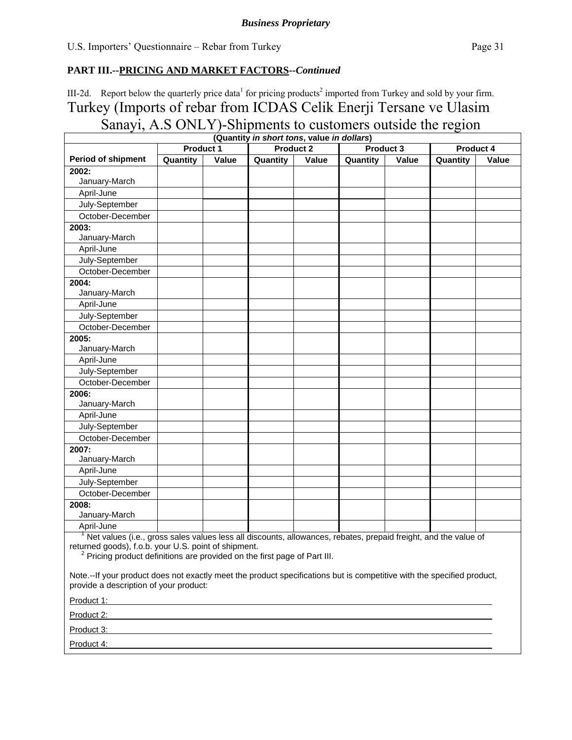III-2d. Report below the quarterly price data<sup>1</sup> for pricing products<sup>2</sup> imported from Turkey and sold by your firm. Turkey (Imports of rebar from ICDAS Celik Enerji Tersane ve Ulasim Sanayi, A.S ONLY)-Shipments to customers outside the region

|                                                                                                                 |                  |       | (Quantity in short tons, value in dollars) |       |           |       |           |       |
|-----------------------------------------------------------------------------------------------------------------|------------------|-------|--------------------------------------------|-------|-----------|-------|-----------|-------|
|                                                                                                                 | <b>Product 1</b> |       | <b>Product 2</b>                           |       | Product 3 |       | Product 4 |       |
| <b>Period of shipment</b>                                                                                       | Quantity         | Value | Quantity                                   | Value | Quantity  | Value | Quantity  | Value |
| 2002:                                                                                                           |                  |       |                                            |       |           |       |           |       |
| January-March                                                                                                   |                  |       |                                            |       |           |       |           |       |
| April-June                                                                                                      |                  |       |                                            |       |           |       |           |       |
| July-September                                                                                                  |                  |       |                                            |       |           |       |           |       |
| October-December                                                                                                |                  |       |                                            |       |           |       |           |       |
| 2003:                                                                                                           |                  |       |                                            |       |           |       |           |       |
| January-March                                                                                                   |                  |       |                                            |       |           |       |           |       |
| April-June                                                                                                      |                  |       |                                            |       |           |       |           |       |
| July-September                                                                                                  |                  |       |                                            |       |           |       |           |       |
| October-December                                                                                                |                  |       |                                            |       |           |       |           |       |
| 2004:                                                                                                           |                  |       |                                            |       |           |       |           |       |
| January-March                                                                                                   |                  |       |                                            |       |           |       |           |       |
| April-June                                                                                                      |                  |       |                                            |       |           |       |           |       |
| July-September                                                                                                  |                  |       |                                            |       |           |       |           |       |
| October-December                                                                                                |                  |       |                                            |       |           |       |           |       |
| 2005:                                                                                                           |                  |       |                                            |       |           |       |           |       |
| January-March                                                                                                   |                  |       |                                            |       |           |       |           |       |
| April-June                                                                                                      |                  |       |                                            |       |           |       |           |       |
| July-September                                                                                                  |                  |       |                                            |       |           |       |           |       |
| October-December                                                                                                |                  |       |                                            |       |           |       |           |       |
| 2006:                                                                                                           |                  |       |                                            |       |           |       |           |       |
| January-March                                                                                                   |                  |       |                                            |       |           |       |           |       |
| April-June                                                                                                      |                  |       |                                            |       |           |       |           |       |
| July-September                                                                                                  |                  |       |                                            |       |           |       |           |       |
| October-December                                                                                                |                  |       |                                            |       |           |       |           |       |
| 2007:                                                                                                           |                  |       |                                            |       |           |       |           |       |
| January-March                                                                                                   |                  |       |                                            |       |           |       |           |       |
| April-June                                                                                                      |                  |       |                                            |       |           |       |           |       |
| July-September                                                                                                  |                  |       |                                            |       |           |       |           |       |
| October-December                                                                                                |                  |       |                                            |       |           |       |           |       |
| 2008:                                                                                                           |                  |       |                                            |       |           |       |           |       |
| January-March                                                                                                   |                  |       |                                            |       |           |       |           |       |
| April-June                                                                                                      |                  |       |                                            |       |           |       |           |       |
| Net values (i.e., gross sales values less all discounts, allowances, rebates, prepaid freight, and the value of |                  |       |                                            |       |           |       |           |       |

returned goods), f.o.b. your U.S. point of shipment. <sup>2</sup> Pricing product definitions are provided on the first page of Part III.

Note.--If your product does not exactly meet the product specifications but is competitive with the specified product, provide a description of your product:

Product 1:

Product 2:

Product 3:

Product 4: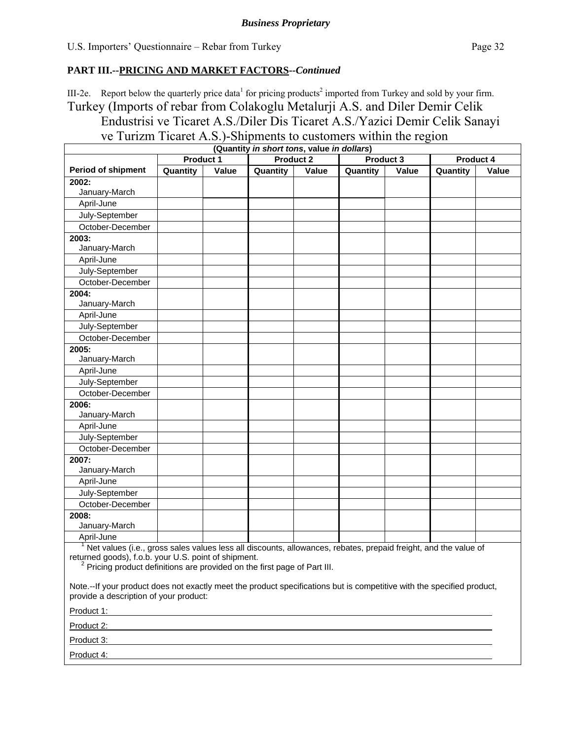III-2e. Report below the quarterly price data<sup>1</sup> for pricing products<sup>2</sup> imported from Turkey and sold by your firm. Turkey (Imports of rebar from Colakoglu Metalurji A.S. and Diler Demir Celik Endustrisi ve Ticaret A.S./Diler Dis Ticaret A.S./Yazici Demir Celik Sanayi

ve Turizm Ticaret A.S.)-Shipments to customers within the region

| (Quantity in short tons, value in dollars)                                                                                                                       |                  |       |                  |       |           |       |           |              |
|------------------------------------------------------------------------------------------------------------------------------------------------------------------|------------------|-------|------------------|-------|-----------|-------|-----------|--------------|
|                                                                                                                                                                  | <b>Product 1</b> |       | <b>Product 2</b> |       | Product 3 |       | Product 4 |              |
| <b>Period of shipment</b>                                                                                                                                        | Quantity         | Value | Quantity         | Value | Quantity  | Value | Quantity  | <b>Value</b> |
| 2002:                                                                                                                                                            |                  |       |                  |       |           |       |           |              |
| January-March                                                                                                                                                    |                  |       |                  |       |           |       |           |              |
| April-June                                                                                                                                                       |                  |       |                  |       |           |       |           |              |
| July-September                                                                                                                                                   |                  |       |                  |       |           |       |           |              |
| October-December                                                                                                                                                 |                  |       |                  |       |           |       |           |              |
| 2003:                                                                                                                                                            |                  |       |                  |       |           |       |           |              |
| January-March                                                                                                                                                    |                  |       |                  |       |           |       |           |              |
| April-June                                                                                                                                                       |                  |       |                  |       |           |       |           |              |
| July-September                                                                                                                                                   |                  |       |                  |       |           |       |           |              |
| October-December                                                                                                                                                 |                  |       |                  |       |           |       |           |              |
| 2004:<br>January-March                                                                                                                                           |                  |       |                  |       |           |       |           |              |
| April-June                                                                                                                                                       |                  |       |                  |       |           |       |           |              |
| July-September                                                                                                                                                   |                  |       |                  |       |           |       |           |              |
| October-December                                                                                                                                                 |                  |       |                  |       |           |       |           |              |
| 2005:                                                                                                                                                            |                  |       |                  |       |           |       |           |              |
| January-March                                                                                                                                                    |                  |       |                  |       |           |       |           |              |
| April-June                                                                                                                                                       |                  |       |                  |       |           |       |           |              |
| July-September                                                                                                                                                   |                  |       |                  |       |           |       |           |              |
| October-December                                                                                                                                                 |                  |       |                  |       |           |       |           |              |
| 2006:                                                                                                                                                            |                  |       |                  |       |           |       |           |              |
| January-March                                                                                                                                                    |                  |       |                  |       |           |       |           |              |
| April-June                                                                                                                                                       |                  |       |                  |       |           |       |           |              |
| July-September                                                                                                                                                   |                  |       |                  |       |           |       |           |              |
| October-December                                                                                                                                                 |                  |       |                  |       |           |       |           |              |
| 2007:<br>January-March                                                                                                                                           |                  |       |                  |       |           |       |           |              |
| April-June                                                                                                                                                       |                  |       |                  |       |           |       |           |              |
| July-September                                                                                                                                                   |                  |       |                  |       |           |       |           |              |
| October-December                                                                                                                                                 |                  |       |                  |       |           |       |           |              |
| 2008:<br>January-March                                                                                                                                           |                  |       |                  |       |           |       |           |              |
| April-June                                                                                                                                                       |                  |       |                  |       |           |       |           |              |
| <sup>1</sup> Net values (i.e., gross sales values less all discounts, allowances, rebates, prepaid freight, and the value of                                     |                  |       |                  |       |           |       |           |              |
| returned goods), f.o.b. your U.S. point of shipment.<br>Pricing product definitions are provided on the first page of Part III.                                  |                  |       |                  |       |           |       |           |              |
| Note.--If your product does not exactly meet the product specifications but is competitive with the specified product,<br>provide a description of your product: |                  |       |                  |       |           |       |           |              |
|                                                                                                                                                                  |                  |       |                  |       |           |       |           |              |
| Product 2:                                                                                                                                                       |                  |       |                  |       |           |       |           |              |
| Product 3:                                                                                                                                                       |                  |       |                  |       |           |       |           |              |
| Product 4:                                                                                                                                                       |                  |       |                  |       |           |       |           |              |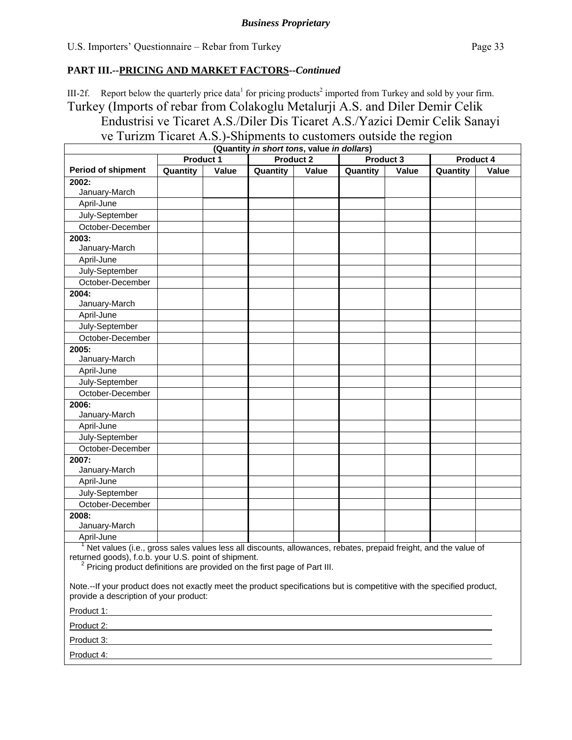III-2f. Report below the quarterly price data<sup>1</sup> for pricing products<sup>2</sup> imported from Turkey and sold by your firm. Turkey (Imports of rebar from Colakoglu Metalurji A.S. and Diler Demir Celik

Endustrisi ve Ticaret A.S./Diler Dis Ticaret A.S./Yazici Demir Celik Sanayi

ve Turizm Ticaret A.S.)-Shipments to customers outside the region

| (Quantity in short tons, value in dollars)                                                                                                                       |                                                                                                                       |       |                  |       |           |       |           |              |
|------------------------------------------------------------------------------------------------------------------------------------------------------------------|-----------------------------------------------------------------------------------------------------------------------|-------|------------------|-------|-----------|-------|-----------|--------------|
|                                                                                                                                                                  | <b>Product 1</b>                                                                                                      |       | <b>Product 2</b> |       | Product 3 |       | Product 4 |              |
| <b>Period of shipment</b>                                                                                                                                        | Quantity                                                                                                              | Value | Quantity         | Value | Quantity  | Value | Quantity  | <b>Value</b> |
| 2002:                                                                                                                                                            |                                                                                                                       |       |                  |       |           |       |           |              |
| January-March                                                                                                                                                    |                                                                                                                       |       |                  |       |           |       |           |              |
| April-June                                                                                                                                                       |                                                                                                                       |       |                  |       |           |       |           |              |
| July-September                                                                                                                                                   |                                                                                                                       |       |                  |       |           |       |           |              |
| October-December                                                                                                                                                 |                                                                                                                       |       |                  |       |           |       |           |              |
| 2003:                                                                                                                                                            |                                                                                                                       |       |                  |       |           |       |           |              |
| January-March                                                                                                                                                    |                                                                                                                       |       |                  |       |           |       |           |              |
| April-June                                                                                                                                                       |                                                                                                                       |       |                  |       |           |       |           |              |
| July-September                                                                                                                                                   |                                                                                                                       |       |                  |       |           |       |           |              |
| October-December                                                                                                                                                 |                                                                                                                       |       |                  |       |           |       |           |              |
| 2004:<br>January-March                                                                                                                                           |                                                                                                                       |       |                  |       |           |       |           |              |
|                                                                                                                                                                  |                                                                                                                       |       |                  |       |           |       |           |              |
| April-June                                                                                                                                                       |                                                                                                                       |       |                  |       |           |       |           |              |
| July-September<br>October-December                                                                                                                               |                                                                                                                       |       |                  |       |           |       |           |              |
| 2005:                                                                                                                                                            |                                                                                                                       |       |                  |       |           |       |           |              |
| January-March                                                                                                                                                    |                                                                                                                       |       |                  |       |           |       |           |              |
| April-June                                                                                                                                                       |                                                                                                                       |       |                  |       |           |       |           |              |
| July-September                                                                                                                                                   |                                                                                                                       |       |                  |       |           |       |           |              |
| October-December                                                                                                                                                 |                                                                                                                       |       |                  |       |           |       |           |              |
| 2006:                                                                                                                                                            |                                                                                                                       |       |                  |       |           |       |           |              |
| January-March                                                                                                                                                    |                                                                                                                       |       |                  |       |           |       |           |              |
| April-June                                                                                                                                                       |                                                                                                                       |       |                  |       |           |       |           |              |
| July-September                                                                                                                                                   |                                                                                                                       |       |                  |       |           |       |           |              |
| October-December                                                                                                                                                 |                                                                                                                       |       |                  |       |           |       |           |              |
| 2007:<br>January-March                                                                                                                                           |                                                                                                                       |       |                  |       |           |       |           |              |
| April-June                                                                                                                                                       |                                                                                                                       |       |                  |       |           |       |           |              |
| July-September                                                                                                                                                   |                                                                                                                       |       |                  |       |           |       |           |              |
| October-December                                                                                                                                                 |                                                                                                                       |       |                  |       |           |       |           |              |
| 2008:<br>January-March                                                                                                                                           |                                                                                                                       |       |                  |       |           |       |           |              |
| April-June                                                                                                                                                       |                                                                                                                       |       |                  |       |           |       |           |              |
| <sup>1</sup> Net values (i.e., gross sales values less all discounts, allowances, rebates, prepaid freight, and the value of                                     |                                                                                                                       |       |                  |       |           |       |           |              |
| returned goods), f.o.b. your U.S. point of shipment.<br>Pricing product definitions are provided on the first page of Part III.                                  |                                                                                                                       |       |                  |       |           |       |           |              |
| Note.--If your product does not exactly meet the product specifications but is competitive with the specified product,<br>provide a description of your product: |                                                                                                                       |       |                  |       |           |       |           |              |
| Product 1:                                                                                                                                                       | <u> 1980 - Johann Harry Harry Harry Harry Harry Harry Harry Harry Harry Harry Harry Harry Harry Harry Harry Harry</u> |       |                  |       |           |       |           |              |
| Product 2:                                                                                                                                                       |                                                                                                                       |       |                  |       |           |       |           |              |
| Product 3:                                                                                                                                                       |                                                                                                                       |       |                  |       |           |       |           |              |
| Product 4:                                                                                                                                                       |                                                                                                                       |       |                  |       |           |       |           |              |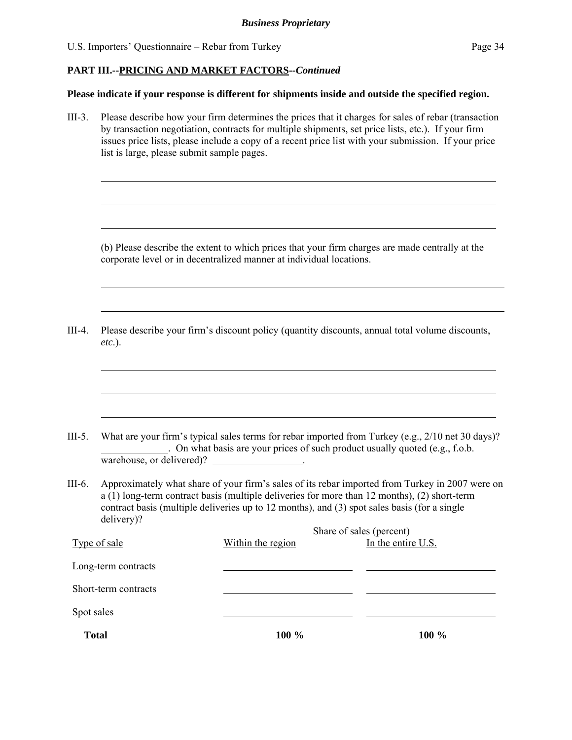$\overline{a}$ 

 $\overline{a}$ 

 $\overline{a}$ 

 $\overline{a}$ 

 $\overline{a}$ 

 $\overline{a}$ 

 $\overline{a}$ 

 $\overline{a}$ 

#### **PART III.--PRICING AND MARKET FACTORS***--Continued*

#### **Please indicate if your response is different for shipments inside and outside the specified region.**

III-3. Please describe how your firm determines the prices that it charges for sales of rebar (transaction by transaction negotiation, contracts for multiple shipments, set price lists, etc.). If your firm issues price lists, please include a copy of a recent price list with your submission. If your price list is large, please submit sample pages.

(b) Please describe the extent to which prices that your firm charges are made centrally at the corporate level or in decentralized manner at individual locations.

III-4. Please describe your firm's discount policy (quantity discounts, annual total volume discounts, *etc*.).

III-5. What are your firm's typical sales terms for rebar imported from Turkey (e.g., 2/10 net 30 days)? . On what basis are your prices of such product usually quoted (e.g., f.o.b. warehouse, or delivered)?

III-6. Approximately what share of your firm's sales of its rebar imported from Turkey in 2007 were on  $\hat{a}(1)$  long-term contract basis (multiple deliveries for more than 12 months), (2) short-term contract basis (multiple deliveries up to 12 months), and (3) spot sales basis (for a single delivery)?

| <b>Total</b>         | 100 %             | 100 %                    |  |
|----------------------|-------------------|--------------------------|--|
| Spot sales           |                   |                          |  |
| Short-term contracts |                   |                          |  |
| Long-term contracts  |                   |                          |  |
| Type of sale         | Within the region | In the entire U.S.       |  |
|                      |                   | Share of sales (percent) |  |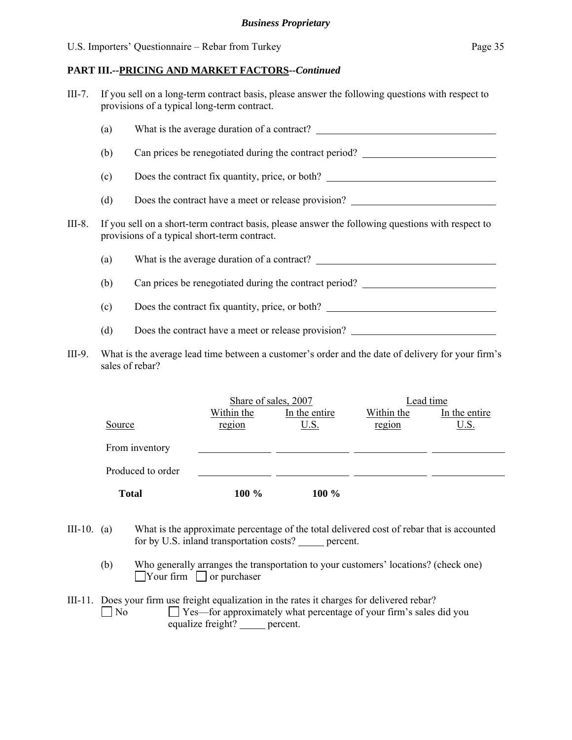| $III-7.$ | If you sell on a long-term contract basis, please answer the following questions with respect to |
|----------|--------------------------------------------------------------------------------------------------|
|          | provisions of a typical long-term contract.                                                      |
|          |                                                                                                  |

|        | (a) | What is the average duration of a contract?                                                                                                       |
|--------|-----|---------------------------------------------------------------------------------------------------------------------------------------------------|
|        | (b) | Can prices be renegotiated during the contract period?                                                                                            |
|        | (c) | Does the contract fix quantity, price, or both?                                                                                                   |
|        | (d) | Does the contract have a meet or release provision?                                                                                               |
| III-8. |     | If you sell on a short-term contract basis, please answer the following questions with respect to<br>provisions of a typical short-term contract. |
|        | (a) | What is the average duration of a contract?                                                                                                       |
|        | (b) | Can prices be renegotiated during the contract period?                                                                                            |
|        |     |                                                                                                                                                   |

- (c) Does the contract fix quantity, price, or both?
- (d) Does the contract have a meet or release provision?
- III-9. What is the average lead time between a customer's order and the date of delivery for your firm's sales of rebar?

|                   | Share of sales, 2007 |               | Lead time  |               |
|-------------------|----------------------|---------------|------------|---------------|
|                   | Within the           | In the entire | Within the | In the entire |
| Source            | region               | <u>U.S.</u>   | region     | <u>U.S.</u>   |
| From inventory    |                      |               |            |               |
| Produced to order |                      |               |            |               |
| <b>Total</b>      | 100 %                | $100\%$       |            |               |

- III-10. (a) What is the approximate percentage of the total delivered cost of rebar that is accounted for by U.S. inland transportation costs? \_\_\_\_\_ percent.
	- (b) Who generally arranges the transportation to your customers' locations? (check one)  $\Box$  Your firm  $\Box$  or purchaser
- III-11. Does your firm use freight equalization in the rates it charges for delivered rebar?<br>  $\Box$  No  $\Box$  Yes—for approximately what percentage of your firm's sales  $\Box$  Yes—for approximately what percentage of your firm's sales did you equalize freight? percent.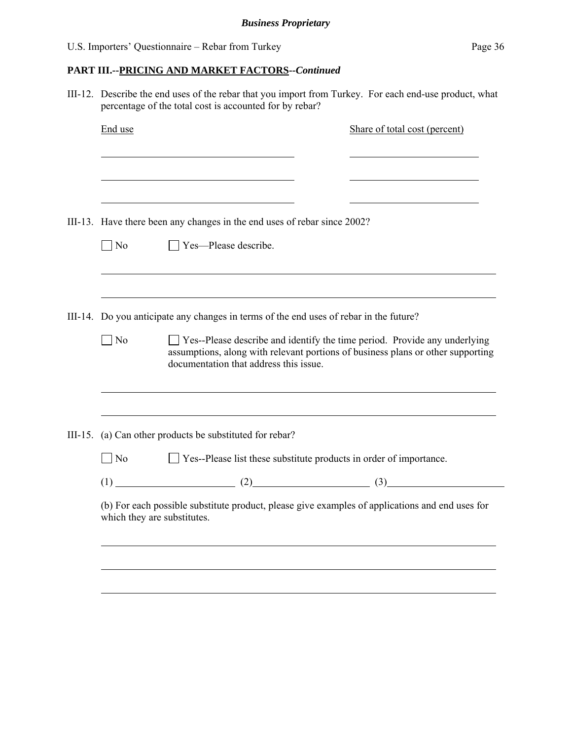III-12. Describe the end uses of the rebar that you import from Turkey. For each end-use product, what percentage of the total cost is accounted for by rebar?

| End use   |                                                                                                                                | Share of total cost (percent)                                                                                                                                  |
|-----------|--------------------------------------------------------------------------------------------------------------------------------|----------------------------------------------------------------------------------------------------------------------------------------------------------------|
|           |                                                                                                                                |                                                                                                                                                                |
|           | III-13. Have there been any changes in the end uses of rebar since 2002?                                                       |                                                                                                                                                                |
| $\Box$ No | $\Box$ Yes—Please describe.                                                                                                    |                                                                                                                                                                |
|           |                                                                                                                                |                                                                                                                                                                |
|           | III-14. Do you anticipate any changes in terms of the end uses of rebar in the future?                                         |                                                                                                                                                                |
| $\neg$ No | documentation that address this issue.                                                                                         | □ Yes--Please describe and identify the time period. Provide any underlying<br>assumptions, along with relevant portions of business plans or other supporting |
|           | III-15. (a) Can other products be substituted for rebar?                                                                       |                                                                                                                                                                |
| $\Box$ No | □ Yes--Please list these substitute products in order of importance.                                                           |                                                                                                                                                                |
|           | $(1)$ (2) (3)                                                                                                                  |                                                                                                                                                                |
|           | (b) For each possible substitute product, please give examples of applications and end uses for<br>which they are substitutes. |                                                                                                                                                                |
|           |                                                                                                                                |                                                                                                                                                                |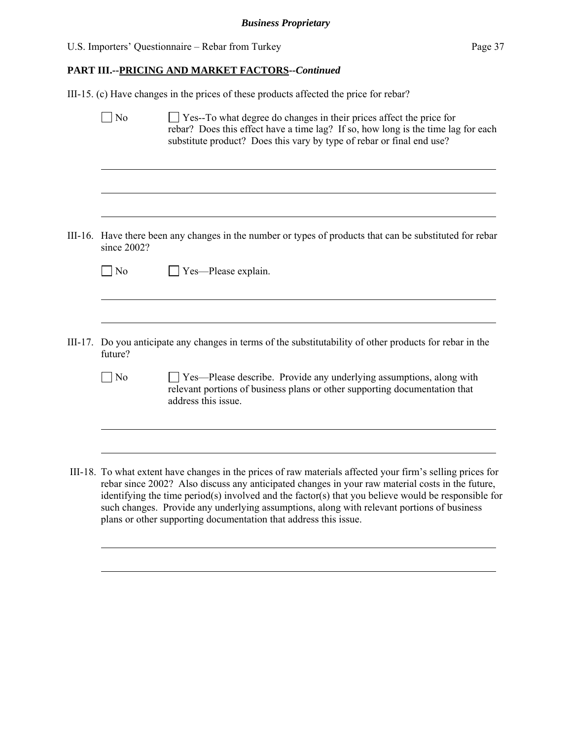| U.S. Importers' Questionnaire – Rebar from Turkey | Page 37 |
|---------------------------------------------------|---------|
|---------------------------------------------------|---------|

 $\overline{a}$ 

### **PART III.--PRICING AND MARKET FACTORS***--Continued*

III-15. (c) Have changes in the prices of these products affected the price for rebar?

|         | N <sub>o</sub> | Yes--To what degree do changes in their prices affect the price for<br>rebar? Does this effect have a time lag? If so, how long is the time lag for each<br>substitute product? Does this vary by type of rebar or final end use?                                                                                                                                                                                                                                                       |
|---------|----------------|-----------------------------------------------------------------------------------------------------------------------------------------------------------------------------------------------------------------------------------------------------------------------------------------------------------------------------------------------------------------------------------------------------------------------------------------------------------------------------------------|
|         |                |                                                                                                                                                                                                                                                                                                                                                                                                                                                                                         |
|         | since 2002?    | III-16. Have there been any changes in the number or types of products that can be substituted for rebar                                                                                                                                                                                                                                                                                                                                                                                |
|         | $\overline{N}$ | Yes-Please explain.                                                                                                                                                                                                                                                                                                                                                                                                                                                                     |
|         |                |                                                                                                                                                                                                                                                                                                                                                                                                                                                                                         |
| III-17. | future?        | Do you anticipate any changes in terms of the substitutability of other products for rebar in the                                                                                                                                                                                                                                                                                                                                                                                       |
|         | $\neg$ No      | Ves—Please describe. Provide any underlying assumptions, along with<br>relevant portions of business plans or other supporting documentation that<br>address this issue.                                                                                                                                                                                                                                                                                                                |
|         |                |                                                                                                                                                                                                                                                                                                                                                                                                                                                                                         |
|         |                | III-18. To what extent have changes in the prices of raw materials affected your firm's selling prices for<br>rebar since 2002? Also discuss any anticipated changes in your raw material costs in the future,<br>identifying the time period(s) involved and the factor(s) that you believe would be responsible for<br>such changes. Provide any underlying assumptions, along with relevant portions of business<br>plans or other supporting documentation that address this issue. |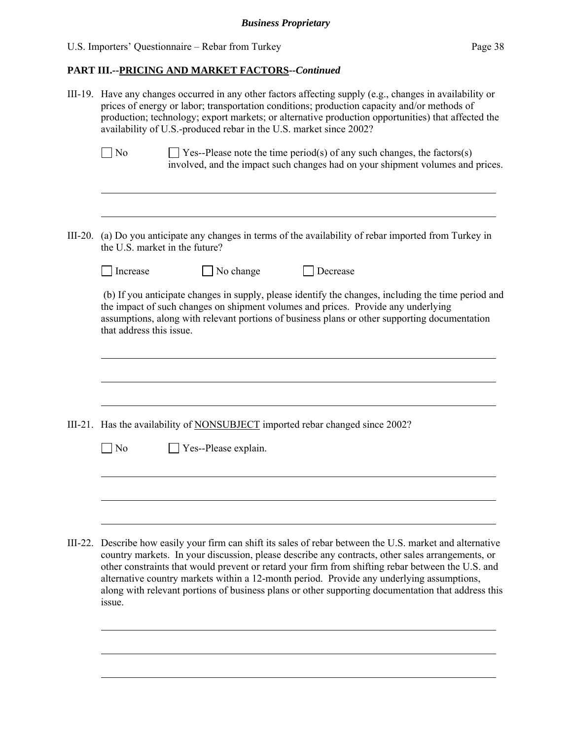### **PART III.--PRICING AND MARKET FACTORS***--Continued*

|         | III-19. Have any changes occurred in any other factors affecting supply (e.g., changes in availability or<br>prices of energy or labor; transportation conditions; production capacity and/or methods of<br>production; technology; export markets; or alternative production opportunities) that affected the<br>availability of U.S.-produced rebar in the U.S. market since 2002?                                                                                                                                             |  |  |  |  |
|---------|----------------------------------------------------------------------------------------------------------------------------------------------------------------------------------------------------------------------------------------------------------------------------------------------------------------------------------------------------------------------------------------------------------------------------------------------------------------------------------------------------------------------------------|--|--|--|--|
|         | $\exists$ Yes--Please note the time period(s) of any such changes, the factors(s)<br>N <sub>0</sub><br>involved, and the impact such changes had on your shipment volumes and prices.                                                                                                                                                                                                                                                                                                                                            |  |  |  |  |
| III-20. | (a) Do you anticipate any changes in terms of the availability of rebar imported from Turkey in<br>the U.S. market in the future?                                                                                                                                                                                                                                                                                                                                                                                                |  |  |  |  |
|         | No change<br>Increase<br>Decrease                                                                                                                                                                                                                                                                                                                                                                                                                                                                                                |  |  |  |  |
|         | (b) If you anticipate changes in supply, please identify the changes, including the time period and<br>the impact of such changes on shipment volumes and prices. Provide any underlying<br>assumptions, along with relevant portions of business plans or other supporting documentation<br>that address this issue.                                                                                                                                                                                                            |  |  |  |  |
|         |                                                                                                                                                                                                                                                                                                                                                                                                                                                                                                                                  |  |  |  |  |
|         | III-21. Has the availability of <b>NONSUBJECT</b> imported rebar changed since 2002?                                                                                                                                                                                                                                                                                                                                                                                                                                             |  |  |  |  |
|         | Yes--Please explain.<br>N <sub>0</sub>                                                                                                                                                                                                                                                                                                                                                                                                                                                                                           |  |  |  |  |
|         |                                                                                                                                                                                                                                                                                                                                                                                                                                                                                                                                  |  |  |  |  |
|         | III-22. Describe how easily your firm can shift its sales of rebar between the U.S. market and alternative<br>country markets. In your discussion, please describe any contracts, other sales arrangements, or<br>other constraints that would prevent or retard your firm from shifting rebar between the U.S. and<br>alternative country markets within a 12-month period. Provide any underlying assumptions,<br>along with relevant portions of business plans or other supporting documentation that address this<br>issue. |  |  |  |  |
|         |                                                                                                                                                                                                                                                                                                                                                                                                                                                                                                                                  |  |  |  |  |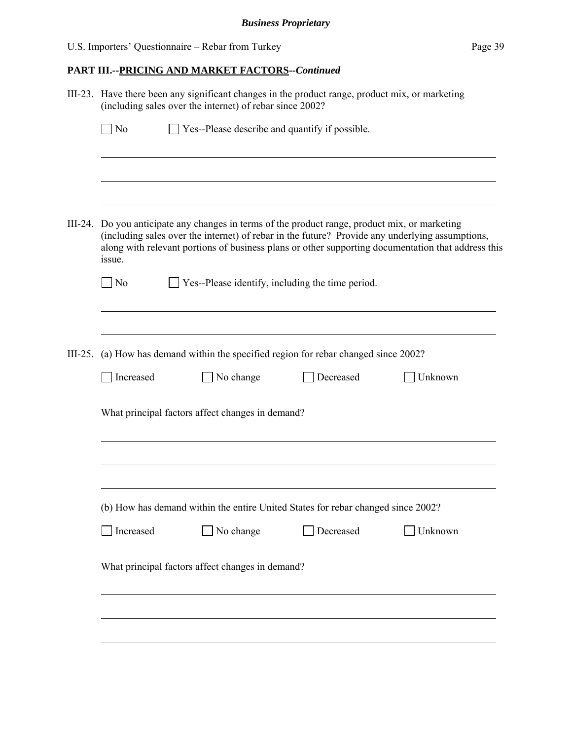| U.S. Importers' Questionnaire – Rebar from Turkey | Page 39 |
|---------------------------------------------------|---------|
|---------------------------------------------------|---------|

|           | III-23. Have there been any significant changes in the product range, product mix, or marketing<br>(including sales over the internet) of rebar since 2002?                                                                                                                                                       |                                                  |           |                                                                              |         |  |
|-----------|-------------------------------------------------------------------------------------------------------------------------------------------------------------------------------------------------------------------------------------------------------------------------------------------------------------------|--------------------------------------------------|-----------|------------------------------------------------------------------------------|---------|--|
|           | ] No                                                                                                                                                                                                                                                                                                              |                                                  |           | Yes--Please describe and quantify if possible.                               |         |  |
|           |                                                                                                                                                                                                                                                                                                                   |                                                  |           |                                                                              |         |  |
|           |                                                                                                                                                                                                                                                                                                                   |                                                  |           |                                                                              |         |  |
|           | III-24. Do you anticipate any changes in terms of the product range, product mix, or marketing<br>(including sales over the internet) of rebar in the future? Provide any underlying assumptions,<br>along with relevant portions of business plans or other supporting documentation that address this<br>issue. |                                                  |           |                                                                              |         |  |
|           | ] No                                                                                                                                                                                                                                                                                                              |                                                  |           | Yes--Please identify, including the time period.                             |         |  |
|           |                                                                                                                                                                                                                                                                                                                   |                                                  |           |                                                                              |         |  |
| $III-25.$ |                                                                                                                                                                                                                                                                                                                   |                                                  |           | (a) How has demand within the specified region for rebar changed since 2002? |         |  |
|           | Increased                                                                                                                                                                                                                                                                                                         |                                                  | No change | Decreased                                                                    | Unknown |  |
|           | What principal factors affect changes in demand?                                                                                                                                                                                                                                                                  |                                                  |           |                                                                              |         |  |
|           |                                                                                                                                                                                                                                                                                                                   |                                                  |           |                                                                              |         |  |
|           | (b) How has demand within the entire United States for rebar changed since 2002?                                                                                                                                                                                                                                  |                                                  |           |                                                                              |         |  |
|           | Increased                                                                                                                                                                                                                                                                                                         |                                                  | No change | Decreased                                                                    | Unknown |  |
|           |                                                                                                                                                                                                                                                                                                                   | What principal factors affect changes in demand? |           |                                                                              |         |  |
|           |                                                                                                                                                                                                                                                                                                                   |                                                  |           |                                                                              |         |  |
|           |                                                                                                                                                                                                                                                                                                                   |                                                  |           |                                                                              |         |  |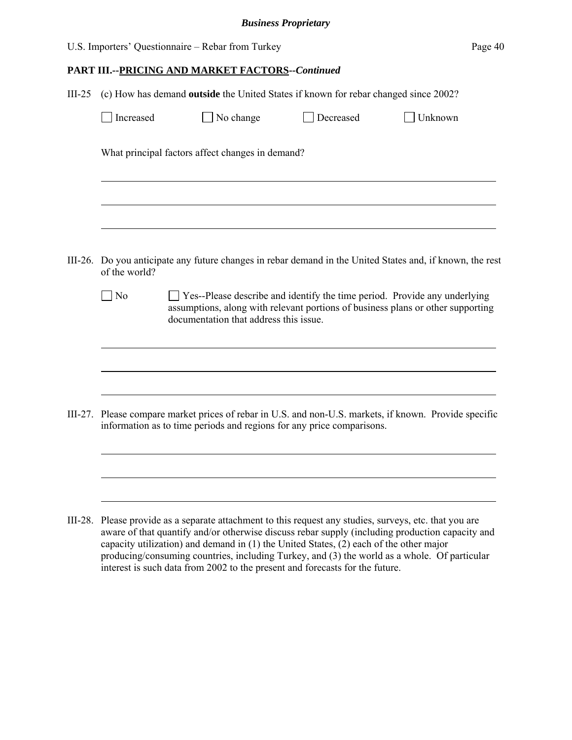| U.S. Importers' Questionnaire – Rebar from Turkey | Page 40 |
|---------------------------------------------------|---------|
|---------------------------------------------------|---------|

| $III-25$ | (c) How has demand outside the United States if known for rebar changed since 2002?                                        |                                                                                                                                                                                                               |           |         |  |  |
|----------|----------------------------------------------------------------------------------------------------------------------------|---------------------------------------------------------------------------------------------------------------------------------------------------------------------------------------------------------------|-----------|---------|--|--|
|          | Increased                                                                                                                  | No change                                                                                                                                                                                                     | Decreased | Unknown |  |  |
|          | What principal factors affect changes in demand?                                                                           |                                                                                                                                                                                                               |           |         |  |  |
|          |                                                                                                                            |                                                                                                                                                                                                               |           |         |  |  |
|          | III-26. Do you anticipate any future changes in rebar demand in the United States and, if known, the rest<br>of the world? |                                                                                                                                                                                                               |           |         |  |  |
|          | $\Box$ No                                                                                                                  | $\Box$ Yes--Please describe and identify the time period. Provide any underlying<br>assumptions, along with relevant portions of business plans or other supporting<br>documentation that address this issue. |           |         |  |  |
|          |                                                                                                                            |                                                                                                                                                                                                               |           |         |  |  |
|          |                                                                                                                            | III-27. Please compare market prices of rebar in U.S. and non-U.S. markets, if known. Provide specific<br>information as to time periods and regions for any price comparisons.                               |           |         |  |  |
|          |                                                                                                                            |                                                                                                                                                                                                               |           |         |  |  |
|          |                                                                                                                            | III-28. Please provide as a separate attachment to this request any studies, surveys, etc. that you are<br>aware of that quantify and/or otherwise discuss rebar supply (including production capacity and    |           |         |  |  |

aware of that quantify and/or otherwise discuss rebar supply (including production capacity and capacity utilization) and demand in (1) the United States, (2) each of the other major producing/consuming countries, including Turkey, and (3) the world as a whole. Of particular interest is such data from 2002 to the present and forecasts for the future.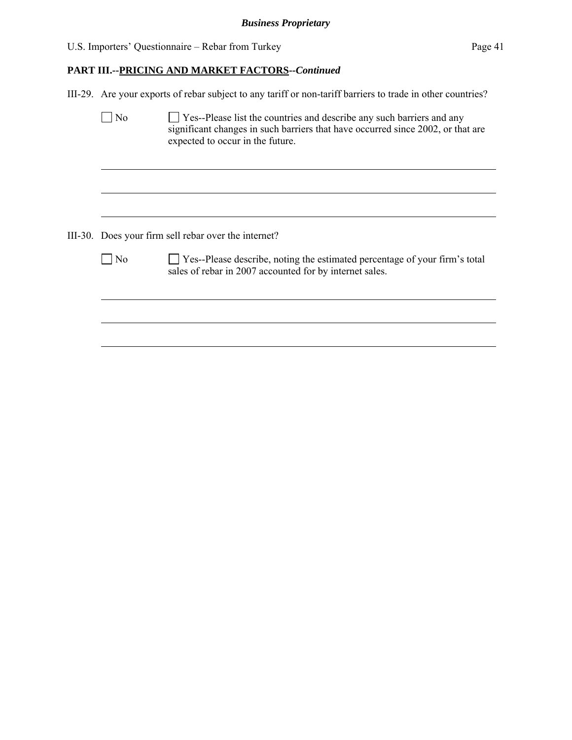### **PART III.--PRICING AND MARKET FACTORS***--Continued*

III-29. Are your exports of rebar subject to any tariff or non-tariff barriers to trade in other countries?

| N٥                                                   | Yes--Please list the countries and describe any such barriers and any<br>significant changes in such barriers that have occurred since 2002, or that are<br>expected to occur in the future. |  |  |  |
|------------------------------------------------------|----------------------------------------------------------------------------------------------------------------------------------------------------------------------------------------------|--|--|--|
|                                                      |                                                                                                                                                                                              |  |  |  |
|                                                      |                                                                                                                                                                                              |  |  |  |
| III-30. Does your firm sell rebar over the internet? |                                                                                                                                                                                              |  |  |  |
| $ $ No                                               | □ Yes--Please describe, noting the estimated percentage of your firm's total<br>sales of rebar in 2007 accounted for by internet sales.                                                      |  |  |  |
|                                                      |                                                                                                                                                                                              |  |  |  |
|                                                      |                                                                                                                                                                                              |  |  |  |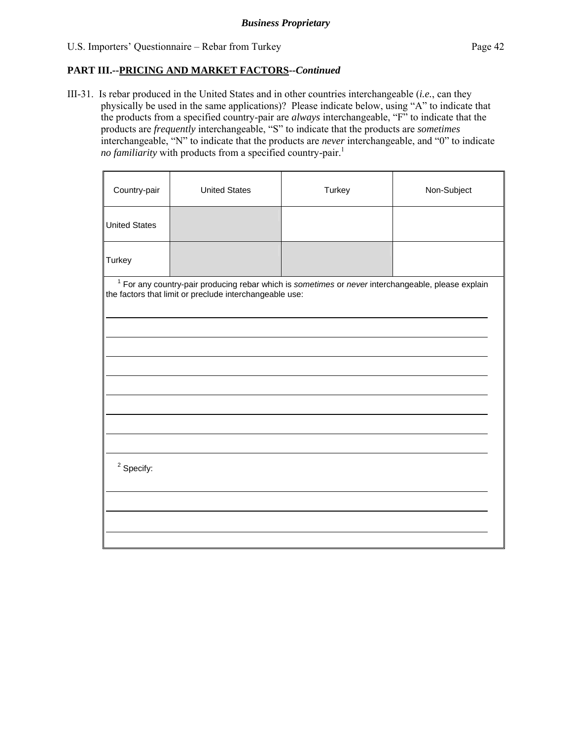III-31. Is rebar produced in the United States and in other countries interchangeable (*i.e.*, can they physically be used in the same applications)? Please indicate below, using "A" to indicate that the products from a specified country-pair are *always* interchangeable, "F" to indicate that the products are *frequently* interchangeable, "S" to indicate that the products are *sometimes* interchangeable, "N" to indicate that the products are *never* interchangeable, and "0" to indicate *no familiarity* with products from a specified country-pair.<sup>1</sup>

| <b>United States</b>                                                                                                                                            | Turkey | Non-Subject |  |  |  |
|-----------------------------------------------------------------------------------------------------------------------------------------------------------------|--------|-------------|--|--|--|
|                                                                                                                                                                 |        |             |  |  |  |
|                                                                                                                                                                 |        |             |  |  |  |
| $1$ For any country-pair producing rebar which is sometimes or never interchangeable, please explain<br>the factors that limit or preclude interchangeable use: |        |             |  |  |  |
|                                                                                                                                                                 |        |             |  |  |  |
|                                                                                                                                                                 |        |             |  |  |  |
|                                                                                                                                                                 |        |             |  |  |  |
|                                                                                                                                                                 |        |             |  |  |  |
| $2$ Specify:                                                                                                                                                    |        |             |  |  |  |
|                                                                                                                                                                 |        |             |  |  |  |
|                                                                                                                                                                 |        |             |  |  |  |
|                                                                                                                                                                 |        |             |  |  |  |